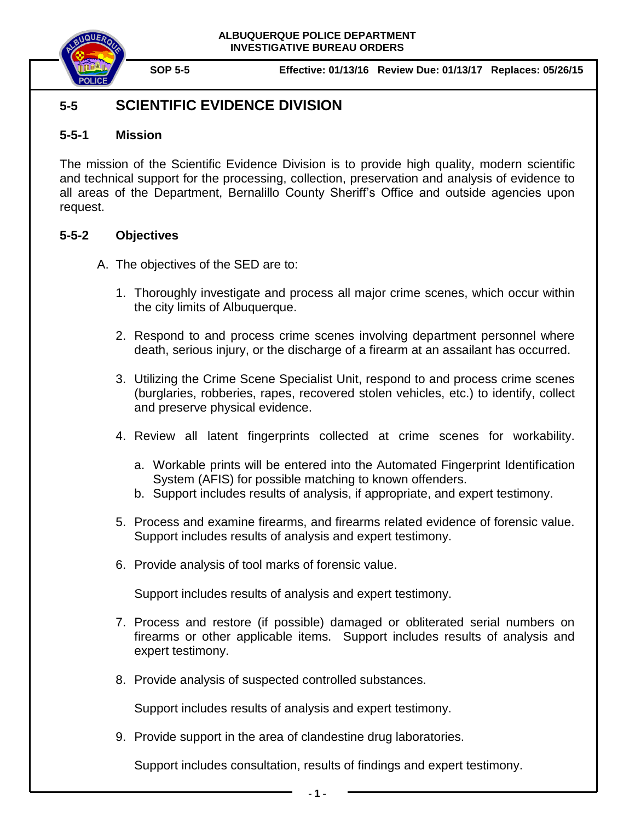

# **5-5 SCIENTIFIC EVIDENCE DIVISION**

# **5-5-1 Mission**

The mission of the Scientific Evidence Division is to provide high quality, modern scientific and technical support for the processing, collection, preservation and analysis of evidence to all areas of the Department, Bernalillo County Sheriff's Office and outside agencies upon request.

# **5-5-2 Objectives**

- A. The objectives of the SED are to:
	- 1. Thoroughly investigate and process all major crime scenes, which occur within the city limits of Albuquerque.
	- 2. Respond to and process crime scenes involving department personnel where death, serious injury, or the discharge of a firearm at an assailant has occurred.
	- 3. Utilizing the Crime Scene Specialist Unit, respond to and process crime scenes (burglaries, robberies, rapes, recovered stolen vehicles, etc.) to identify, collect and preserve physical evidence.
	- 4. Review all latent fingerprints collected at crime scenes for workability.
		- a. Workable prints will be entered into the Automated Fingerprint Identification System (AFIS) for possible matching to known offenders.
		- b. Support includes results of analysis, if appropriate, and expert testimony.
	- 5. Process and examine firearms, and firearms related evidence of forensic value. Support includes results of analysis and expert testimony.
	- 6. Provide analysis of tool marks of forensic value.

Support includes results of analysis and expert testimony.

- 7. Process and restore (if possible) damaged or obliterated serial numbers on firearms or other applicable items. Support includes results of analysis and expert testimony.
- 8. Provide analysis of suspected controlled substances.

Support includes results of analysis and expert testimony.

9. Provide support in the area of clandestine drug laboratories.

Support includes consultation, results of findings and expert testimony.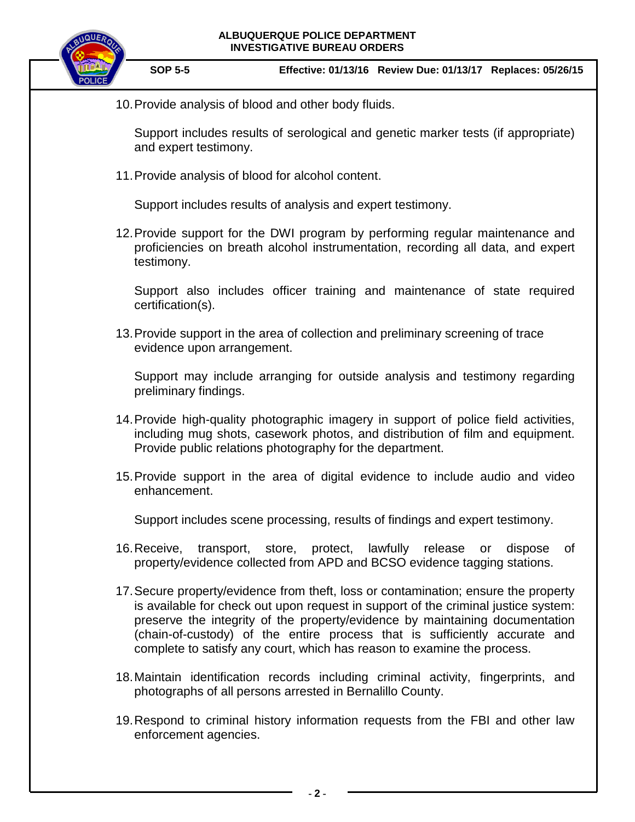

**SOP 5-5 Effective: 01/13/16 Review Due: 01/13/17 Replaces: 05/26/15**

10.Provide analysis of blood and other body fluids.

Support includes results of serological and genetic marker tests (if appropriate) and expert testimony.

11.Provide analysis of blood for alcohol content.

Support includes results of analysis and expert testimony.

12.Provide support for the DWI program by performing regular maintenance and proficiencies on breath alcohol instrumentation, recording all data, and expert testimony.

Support also includes officer training and maintenance of state required certification(s).

13.Provide support in the area of collection and preliminary screening of trace evidence upon arrangement.

Support may include arranging for outside analysis and testimony regarding preliminary findings.

- 14.Provide high-quality photographic imagery in support of police field activities, including mug shots, casework photos, and distribution of film and equipment. Provide public relations photography for the department.
- 15.Provide support in the area of digital evidence to include audio and video enhancement.

Support includes scene processing, results of findings and expert testimony.

- 16.Receive, transport, store, protect, lawfully release or dispose of property/evidence collected from APD and BCSO evidence tagging stations.
- 17.Secure property/evidence from theft, loss or contamination; ensure the property is available for check out upon request in support of the criminal justice system: preserve the integrity of the property/evidence by maintaining documentation (chain-of-custody) of the entire process that is sufficiently accurate and complete to satisfy any court, which has reason to examine the process.
- 18.Maintain identification records including criminal activity, fingerprints, and photographs of all persons arrested in Bernalillo County.
- 19.Respond to criminal history information requests from the FBI and other law enforcement agencies.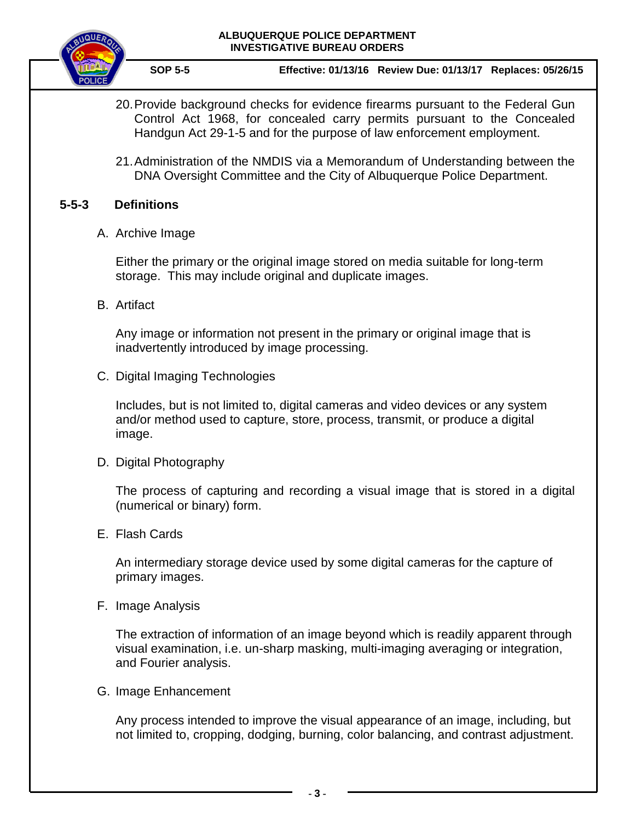

**SOP 5-5 Effective: 01/13/16 Review Due: 01/13/17 Replaces: 05/26/15**

- 20.Provide background checks for evidence firearms pursuant to the Federal Gun Control Act 1968, for concealed carry permits pursuant to the Concealed Handgun Act 29-1-5 and for the purpose of law enforcement employment.
- 21.Administration of the NMDIS via a Memorandum of Understanding between the DNA Oversight Committee and the City of Albuquerque Police Department.

# **5-5-3 Definitions**

A. Archive Image

Either the primary or the original image stored on media suitable for long-term storage. This may include original and duplicate images.

B. Artifact

Any image or information not present in the primary or original image that is inadvertently introduced by image processing.

C. Digital Imaging Technologies

Includes, but is not limited to, digital cameras and video devices or any system and/or method used to capture, store, process, transmit, or produce a digital image.

D. Digital Photography

The process of capturing and recording a visual image that is stored in a digital (numerical or binary) form.

E. Flash Cards

An intermediary storage device used by some digital cameras for the capture of primary images.

F. Image Analysis

The extraction of information of an image beyond which is readily apparent through visual examination, i.e. un-sharp masking, multi-imaging averaging or integration, and Fourier analysis.

G. Image Enhancement

Any process intended to improve the visual appearance of an image, including, but not limited to, cropping, dodging, burning, color balancing, and contrast adjustment.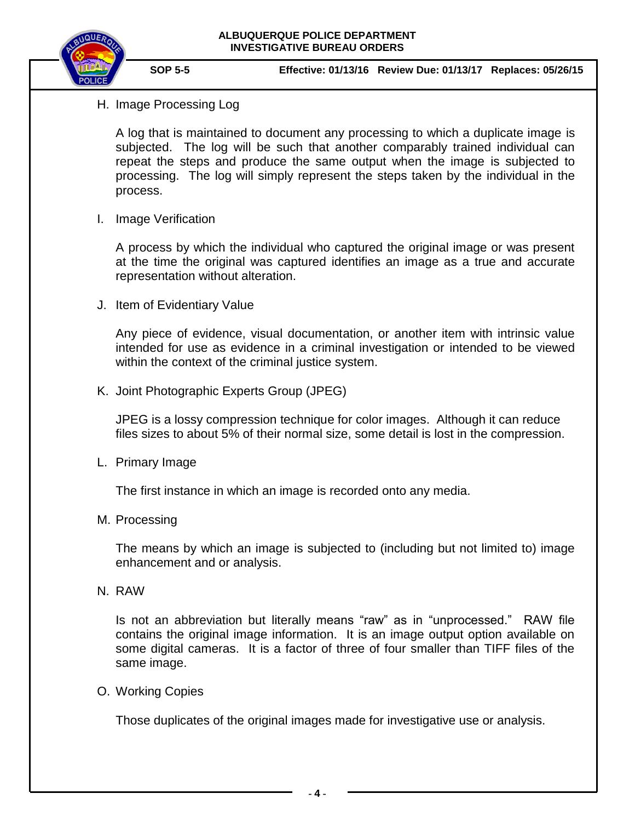

# H. Image Processing Log

A log that is maintained to document any processing to which a duplicate image is subjected. The log will be such that another comparably trained individual can repeat the steps and produce the same output when the image is subjected to processing. The log will simply represent the steps taken by the individual in the process.

I. Image Verification

A process by which the individual who captured the original image or was present at the time the original was captured identifies an image as a true and accurate representation without alteration.

J. Item of Evidentiary Value

Any piece of evidence, visual documentation, or another item with intrinsic value intended for use as evidence in a criminal investigation or intended to be viewed within the context of the criminal justice system.

K. Joint Photographic Experts Group (JPEG)

JPEG is a lossy compression technique for color images. Although it can reduce files sizes to about 5% of their normal size, some detail is lost in the compression.

L. Primary Image

The first instance in which an image is recorded onto any media.

M. Processing

The means by which an image is subjected to (including but not limited to) image enhancement and or analysis.

N. RAW

Is not an abbreviation but literally means "raw" as in "unprocessed." RAW file contains the original image information. It is an image output option available on some digital cameras. It is a factor of three of four smaller than TIFF files of the same image.

O. Working Copies

Those duplicates of the original images made for investigative use or analysis.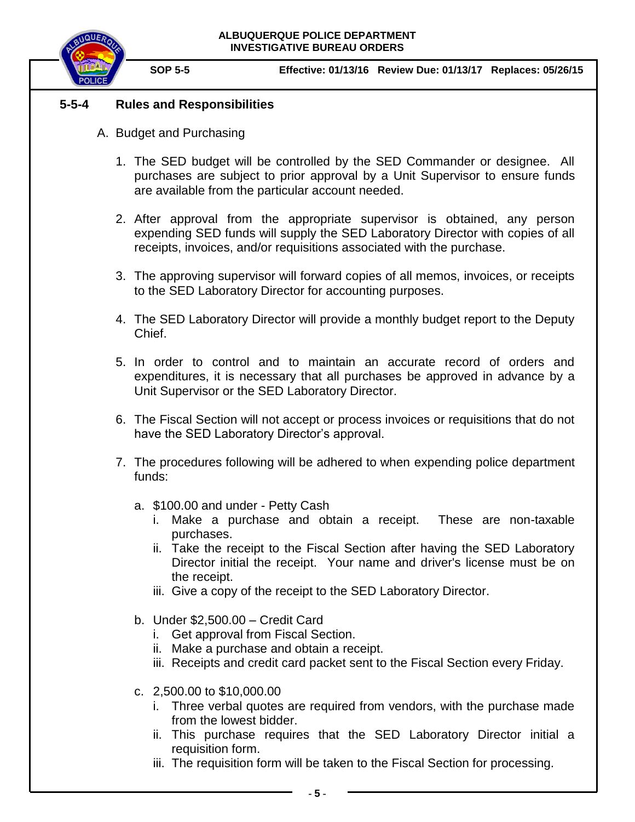

# **5-5-4 Rules and Responsibilities**

- A. Budget and Purchasing
	- 1. The SED budget will be controlled by the SED Commander or designee. All purchases are subject to prior approval by a Unit Supervisor to ensure funds are available from the particular account needed.
	- 2. After approval from the appropriate supervisor is obtained, any person expending SED funds will supply the SED Laboratory Director with copies of all receipts, invoices, and/or requisitions associated with the purchase.
	- 3. The approving supervisor will forward copies of all memos, invoices, or receipts to the SED Laboratory Director for accounting purposes.
	- 4. The SED Laboratory Director will provide a monthly budget report to the Deputy Chief.
	- 5. In order to control and to maintain an accurate record of orders and expenditures, it is necessary that all purchases be approved in advance by a Unit Supervisor or the SED Laboratory Director.
	- 6. The Fiscal Section will not accept or process invoices or requisitions that do not have the SED Laboratory Director's approval.
	- 7. The procedures following will be adhered to when expending police department funds:
		- a. \$100.00 and under Petty Cash
			- i. Make a purchase and obtain a receipt. These are non-taxable purchases.
			- ii. Take the receipt to the Fiscal Section after having the SED Laboratory Director initial the receipt. Your name and driver's license must be on the receipt.
			- iii. Give a copy of the receipt to the SED Laboratory Director.
		- b. Under \$2,500.00 Credit Card
			- i. Get approval from Fiscal Section.
			- ii. Make a purchase and obtain a receipt.
			- iii. Receipts and credit card packet sent to the Fiscal Section every Friday.
		- c. 2,500.00 to \$10,000.00
			- i. Three verbal quotes are required from vendors, with the purchase made from the lowest bidder.
			- ii. This purchase requires that the SED Laboratory Director initial a requisition form.
			- iii. The requisition form will be taken to the Fiscal Section for processing.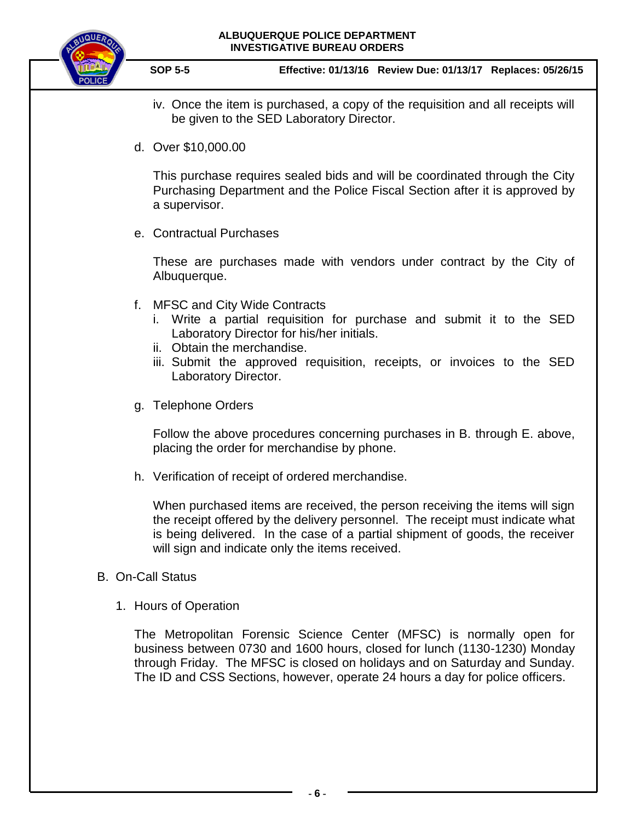

**SOP 5-5 Effective: 01/13/16 Review Due: 01/13/17 Replaces: 05/26/15**

- iv. Once the item is purchased, a copy of the requisition and all receipts will be given to the SED Laboratory Director.
- d. Over \$10,000.00

This purchase requires sealed bids and will be coordinated through the City Purchasing Department and the Police Fiscal Section after it is approved by a supervisor.

e. Contractual Purchases

These are purchases made with vendors under contract by the City of Albuquerque.

- f. MFSC and City Wide Contracts
	- i. Write a partial requisition for purchase and submit it to the SED Laboratory Director for his/her initials.
	- ii. Obtain the merchandise.
	- iii. Submit the approved requisition, receipts, or invoices to the SED Laboratory Director.
- g. Telephone Orders

Follow the above procedures concerning purchases in B. through E. above, placing the order for merchandise by phone.

h. Verification of receipt of ordered merchandise.

When purchased items are received, the person receiving the items will sign the receipt offered by the delivery personnel. The receipt must indicate what is being delivered. In the case of a partial shipment of goods, the receiver will sign and indicate only the items received.

# B. On-Call Status

1. Hours of Operation

The Metropolitan Forensic Science Center (MFSC) is normally open for business between 0730 and 1600 hours, closed for lunch (1130-1230) Monday through Friday. The MFSC is closed on holidays and on Saturday and Sunday. The ID and CSS Sections, however, operate 24 hours a day for police officers.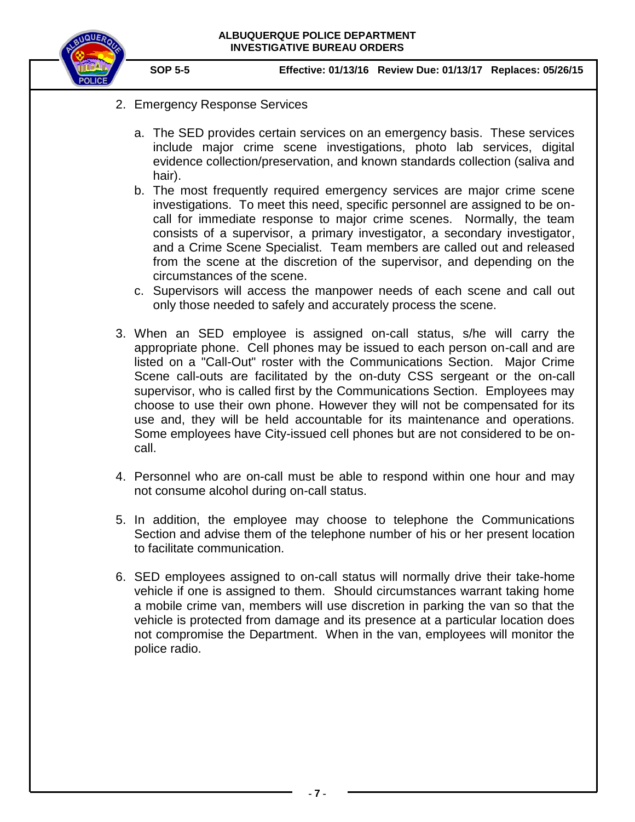

- 2. Emergency Response Services
	- a. The SED provides certain services on an emergency basis. These services include major crime scene investigations, photo lab services, digital evidence collection/preservation, and known standards collection (saliva and hair).
	- b. The most frequently required emergency services are major crime scene investigations. To meet this need, specific personnel are assigned to be oncall for immediate response to major crime scenes. Normally, the team consists of a supervisor, a primary investigator, a secondary investigator, and a Crime Scene Specialist. Team members are called out and released from the scene at the discretion of the supervisor, and depending on the circumstances of the scene.
	- c. Supervisors will access the manpower needs of each scene and call out only those needed to safely and accurately process the scene.
- 3. When an SED employee is assigned on-call status, s/he will carry the appropriate phone. Cell phones may be issued to each person on-call and are listed on a "Call-Out" roster with the Communications Section. Major Crime Scene call-outs are facilitated by the on-duty CSS sergeant or the on-call supervisor, who is called first by the Communications Section. Employees may choose to use their own phone. However they will not be compensated for its use and, they will be held accountable for its maintenance and operations. Some employees have City-issued cell phones but are not considered to be oncall.
- 4. Personnel who are on-call must be able to respond within one hour and may not consume alcohol during on-call status.
- 5. In addition, the employee may choose to telephone the Communications Section and advise them of the telephone number of his or her present location to facilitate communication.
- 6. SED employees assigned to on-call status will normally drive their take-home vehicle if one is assigned to them. Should circumstances warrant taking home a mobile crime van, members will use discretion in parking the van so that the vehicle is protected from damage and its presence at a particular location does not compromise the Department. When in the van, employees will monitor the police radio.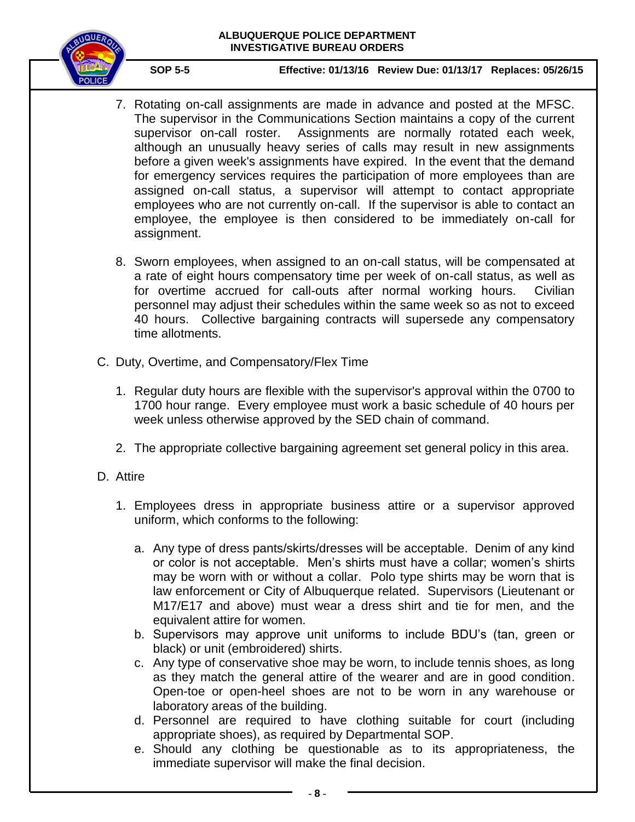

- 7. Rotating on-call assignments are made in advance and posted at the MFSC. The supervisor in the Communications Section maintains a copy of the current supervisor on-call roster. Assignments are normally rotated each week, although an unusually heavy series of calls may result in new assignments before a given week's assignments have expired. In the event that the demand for emergency services requires the participation of more employees than are assigned on-call status, a supervisor will attempt to contact appropriate employees who are not currently on-call. If the supervisor is able to contact an employee, the employee is then considered to be immediately on-call for assignment.
- 8. Sworn employees, when assigned to an on-call status, will be compensated at a rate of eight hours compensatory time per week of on-call status, as well as for overtime accrued for call-outs after normal working hours. Civilian personnel may adjust their schedules within the same week so as not to exceed 40 hours. Collective bargaining contracts will supersede any compensatory time allotments.
- C. Duty, Overtime, and Compensatory/Flex Time
	- 1. Regular duty hours are flexible with the supervisor's approval within the 0700 to 1700 hour range. Every employee must work a basic schedule of 40 hours per week unless otherwise approved by the SED chain of command.
	- 2. The appropriate collective bargaining agreement set general policy in this area.
- D. Attire
	- 1. Employees dress in appropriate business attire or a supervisor approved uniform, which conforms to the following:
		- a. Any type of dress pants/skirts/dresses will be acceptable. Denim of any kind or color is not acceptable. Men's shirts must have a collar; women's shirts may be worn with or without a collar. Polo type shirts may be worn that is law enforcement or City of Albuquerque related. Supervisors (Lieutenant or M17/E17 and above) must wear a dress shirt and tie for men, and the equivalent attire for women.
		- b. Supervisors may approve unit uniforms to include BDU's (tan, green or black) or unit (embroidered) shirts.
		- c. Any type of conservative shoe may be worn, to include tennis shoes, as long as they match the general attire of the wearer and are in good condition. Open-toe or open-heel shoes are not to be worn in any warehouse or laboratory areas of the building.
		- d. Personnel are required to have clothing suitable for court (including appropriate shoes), as required by Departmental SOP.
		- e. Should any clothing be questionable as to its appropriateness, the immediate supervisor will make the final decision.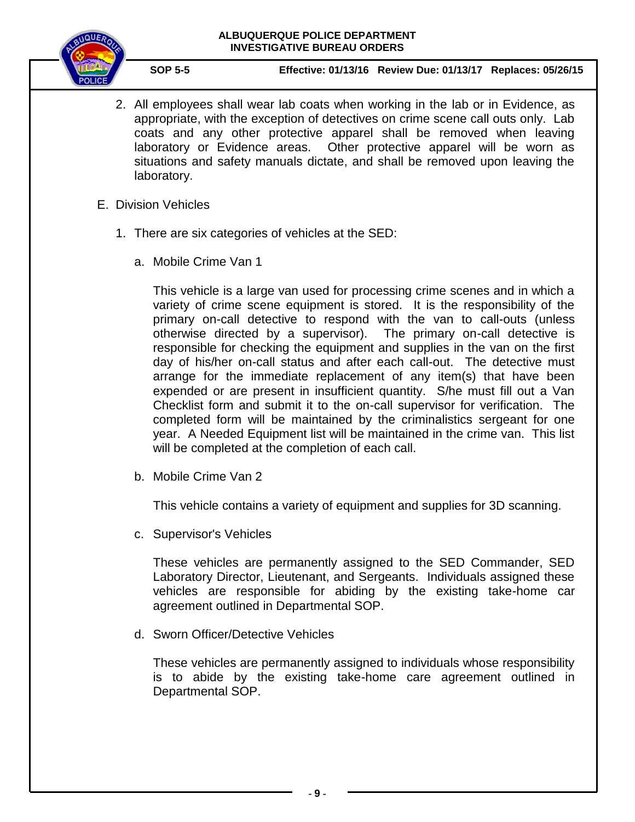

**SOP 5-5 Effective: 01/13/16 Review Due: 01/13/17 Replaces: 05/26/15**

- 2. All employees shall wear lab coats when working in the lab or in Evidence, as appropriate, with the exception of detectives on crime scene call outs only. Lab coats and any other protective apparel shall be removed when leaving laboratory or Evidence areas. Other protective apparel will be worn as situations and safety manuals dictate, and shall be removed upon leaving the laboratory.
- E. Division Vehicles
	- 1. There are six categories of vehicles at the SED:
		- a. Mobile Crime Van 1

This vehicle is a large van used for processing crime scenes and in which a variety of crime scene equipment is stored. It is the responsibility of the primary on-call detective to respond with the van to call-outs (unless otherwise directed by a supervisor). The primary on-call detective is responsible for checking the equipment and supplies in the van on the first day of his/her on-call status and after each call-out. The detective must arrange for the immediate replacement of any item(s) that have been expended or are present in insufficient quantity. S/he must fill out a Van Checklist form and submit it to the on-call supervisor for verification. The completed form will be maintained by the criminalistics sergeant for one year. A Needed Equipment list will be maintained in the crime van. This list will be completed at the completion of each call.

b. Mobile Crime Van 2

This vehicle contains a variety of equipment and supplies for 3D scanning.

c. Supervisor's Vehicles

These vehicles are permanently assigned to the SED Commander, SED Laboratory Director, Lieutenant, and Sergeants. Individuals assigned these vehicles are responsible for abiding by the existing take-home car agreement outlined in Departmental SOP.

d. Sworn Officer/Detective Vehicles

These vehicles are permanently assigned to individuals whose responsibility is to abide by the existing take-home care agreement outlined in Departmental SOP.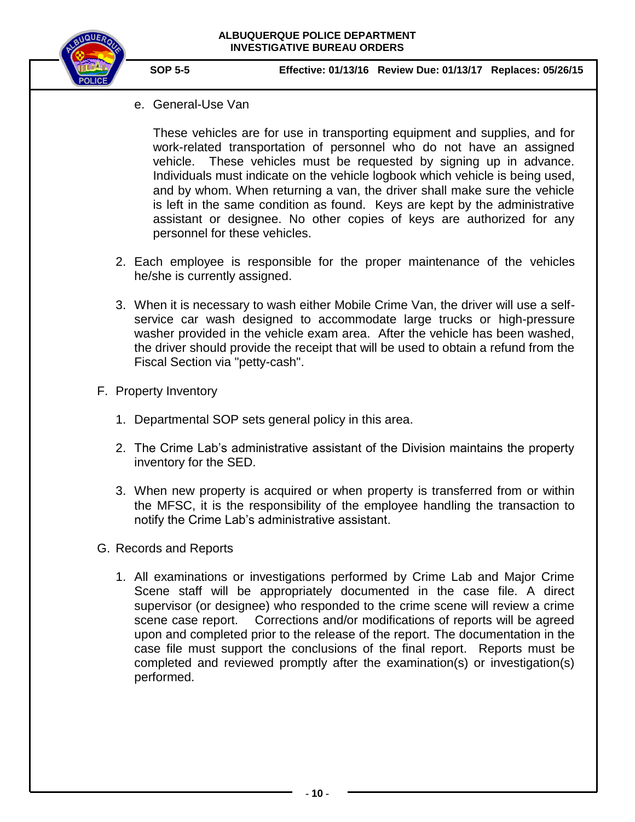

e. General-Use Van

These vehicles are for use in transporting equipment and supplies, and for work-related transportation of personnel who do not have an assigned vehicle. These vehicles must be requested by signing up in advance. Individuals must indicate on the vehicle logbook which vehicle is being used, and by whom. When returning a van, the driver shall make sure the vehicle is left in the same condition as found. Keys are kept by the administrative assistant or designee. No other copies of keys are authorized for any personnel for these vehicles.

- 2. Each employee is responsible for the proper maintenance of the vehicles he/she is currently assigned.
- 3. When it is necessary to wash either Mobile Crime Van, the driver will use a selfservice car wash designed to accommodate large trucks or high-pressure washer provided in the vehicle exam area. After the vehicle has been washed, the driver should provide the receipt that will be used to obtain a refund from the Fiscal Section via "petty-cash".
- F. Property Inventory
	- 1. Departmental SOP sets general policy in this area.
	- 2. The Crime Lab's administrative assistant of the Division maintains the property inventory for the SED.
	- 3. When new property is acquired or when property is transferred from or within the MFSC, it is the responsibility of the employee handling the transaction to notify the Crime Lab's administrative assistant.
- G. Records and Reports
	- 1. All examinations or investigations performed by Crime Lab and Major Crime Scene staff will be appropriately documented in the case file. A direct supervisor (or designee) who responded to the crime scene will review a crime scene case report. Corrections and/or modifications of reports will be agreed upon and completed prior to the release of the report. The documentation in the case file must support the conclusions of the final report. Reports must be completed and reviewed promptly after the examination(s) or investigation(s) performed.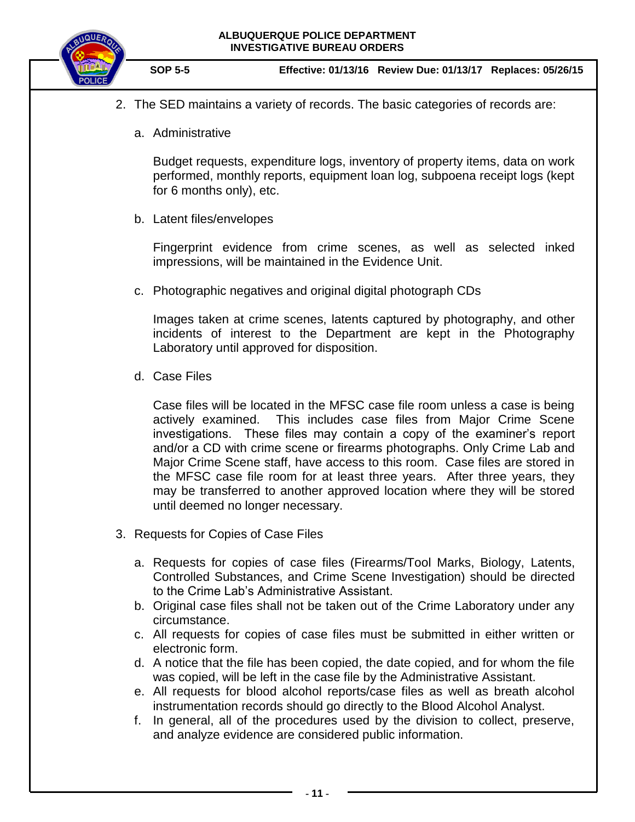

- 2. The SED maintains a variety of records. The basic categories of records are:
	- a. Administrative

Budget requests, expenditure logs, inventory of property items, data on work performed, monthly reports, equipment loan log, subpoena receipt logs (kept for 6 months only), etc.

b. Latent files/envelopes

Fingerprint evidence from crime scenes, as well as selected inked impressions, will be maintained in the Evidence Unit.

c. Photographic negatives and original digital photograph CDs

Images taken at crime scenes, latents captured by photography, and other incidents of interest to the Department are kept in the Photography Laboratory until approved for disposition.

d. Case Files

Case files will be located in the MFSC case file room unless a case is being actively examined. This includes case files from Major Crime Scene investigations. These files may contain a copy of the examiner's report and/or a CD with crime scene or firearms photographs. Only Crime Lab and Major Crime Scene staff, have access to this room. Case files are stored in the MFSC case file room for at least three years. After three years, they may be transferred to another approved location where they will be stored until deemed no longer necessary.

- 3. Requests for Copies of Case Files
	- a. Requests for copies of case files (Firearms/Tool Marks, Biology, Latents, Controlled Substances, and Crime Scene Investigation) should be directed to the Crime Lab's Administrative Assistant.
	- b. Original case files shall not be taken out of the Crime Laboratory under any circumstance.
	- c. All requests for copies of case files must be submitted in either written or electronic form.
	- d. A notice that the file has been copied, the date copied, and for whom the file was copied, will be left in the case file by the Administrative Assistant.
	- e. All requests for blood alcohol reports/case files as well as breath alcohol instrumentation records should go directly to the Blood Alcohol Analyst.
	- f. In general, all of the procedures used by the division to collect, preserve, and analyze evidence are considered public information.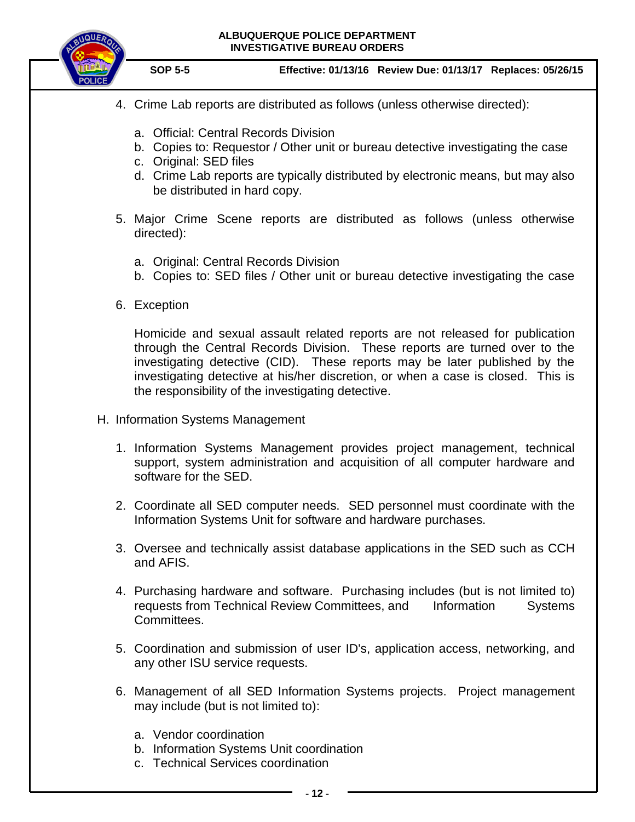

**SOP 5-5 Effective: 01/13/16 Review Due: 01/13/17 Replaces: 05/26/15**

- 4. Crime Lab reports are distributed as follows (unless otherwise directed):
	- a. Official: Central Records Division
	- b. Copies to: Requestor / Other unit or bureau detective investigating the case
	- c. Original: SED files
	- d. Crime Lab reports are typically distributed by electronic means, but may also be distributed in hard copy.
- 5. Major Crime Scene reports are distributed as follows (unless otherwise directed):
	- a. Original: Central Records Division
	- b. Copies to: SED files / Other unit or bureau detective investigating the case
- 6. Exception

Homicide and sexual assault related reports are not released for publication through the Central Records Division. These reports are turned over to the investigating detective (CID). These reports may be later published by the investigating detective at his/her discretion, or when a case is closed. This is the responsibility of the investigating detective.

- H. Information Systems Management
	- 1. Information Systems Management provides project management, technical support, system administration and acquisition of all computer hardware and software for the SED.
	- 2. Coordinate all SED computer needs. SED personnel must coordinate with the Information Systems Unit for software and hardware purchases.
	- 3. Oversee and technically assist database applications in the SED such as CCH and AFIS.
	- 4. Purchasing hardware and software. Purchasing includes (but is not limited to) requests from Technical Review Committees, and Information Systems Committees.
	- 5. Coordination and submission of user ID's, application access, networking, and any other ISU service requests.
	- 6. Management of all SED Information Systems projects. Project management may include (but is not limited to):
		- a. Vendor coordination
		- b. Information Systems Unit coordination
		- c. Technical Services coordination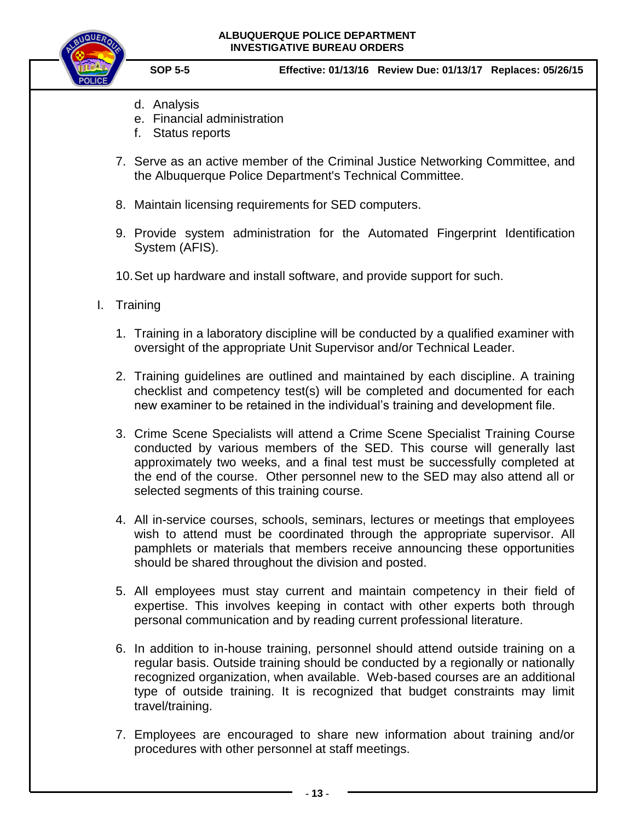

- d. Analysis
- e. Financial administration
- f. Status reports
- 7. Serve as an active member of the Criminal Justice Networking Committee, and the Albuquerque Police Department's Technical Committee.
- 8. Maintain licensing requirements for SED computers.
- 9. Provide system administration for the Automated Fingerprint Identification System (AFIS).
- 10.Set up hardware and install software, and provide support for such.
- I. Training
	- 1. Training in a laboratory discipline will be conducted by a qualified examiner with oversight of the appropriate Unit Supervisor and/or Technical Leader.
	- 2. Training guidelines are outlined and maintained by each discipline. A training checklist and competency test(s) will be completed and documented for each new examiner to be retained in the individual's training and development file.
	- 3. Crime Scene Specialists will attend a Crime Scene Specialist Training Course conducted by various members of the SED. This course will generally last approximately two weeks, and a final test must be successfully completed at the end of the course. Other personnel new to the SED may also attend all or selected segments of this training course.
	- 4. All in-service courses, schools, seminars, lectures or meetings that employees wish to attend must be coordinated through the appropriate supervisor. All pamphlets or materials that members receive announcing these opportunities should be shared throughout the division and posted.
	- 5. All employees must stay current and maintain competency in their field of expertise. This involves keeping in contact with other experts both through personal communication and by reading current professional literature.
	- 6. In addition to in-house training, personnel should attend outside training on a regular basis. Outside training should be conducted by a regionally or nationally recognized organization, when available. Web-based courses are an additional type of outside training. It is recognized that budget constraints may limit travel/training.
	- 7. Employees are encouraged to share new information about training and/or procedures with other personnel at staff meetings.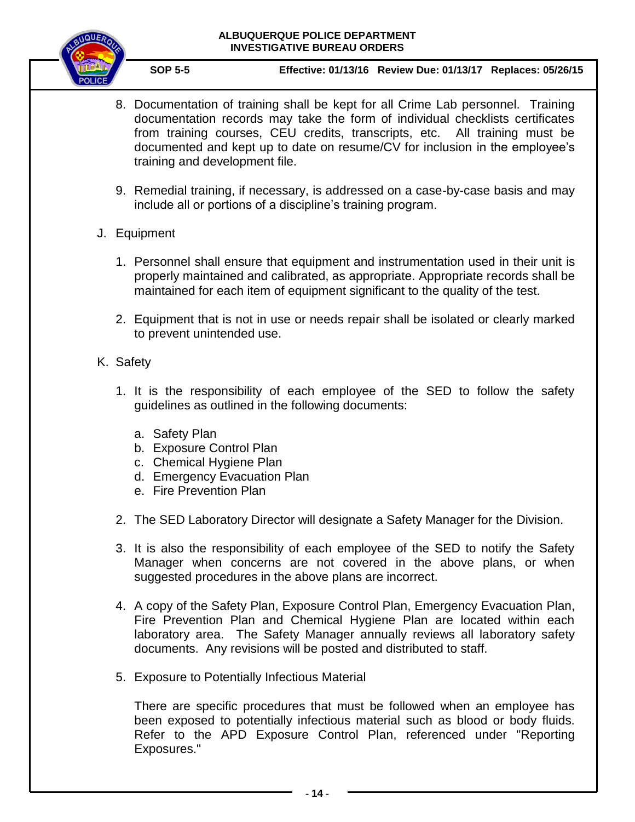

**SOP 5-5 Effective: 01/13/16 Review Due: 01/13/17 Replaces: 05/26/15**

- 8. Documentation of training shall be kept for all Crime Lab personnel. Training documentation records may take the form of individual checklists certificates from training courses, CEU credits, transcripts, etc. All training must be documented and kept up to date on resume/CV for inclusion in the employee's training and development file.
- 9. Remedial training, if necessary, is addressed on a case-by-case basis and may include all or portions of a discipline's training program.
- J. Equipment
	- 1. Personnel shall ensure that equipment and instrumentation used in their unit is properly maintained and calibrated, as appropriate. Appropriate records shall be maintained for each item of equipment significant to the quality of the test.
	- 2. Equipment that is not in use or needs repair shall be isolated or clearly marked to prevent unintended use.
- K. Safety
	- 1. It is the responsibility of each employee of the SED to follow the safety guidelines as outlined in the following documents:
		- a. Safety Plan
		- b. Exposure Control Plan
		- c. Chemical Hygiene Plan
		- d. Emergency Evacuation Plan
		- e. Fire Prevention Plan
	- 2. The SED Laboratory Director will designate a Safety Manager for the Division.
	- 3. It is also the responsibility of each employee of the SED to notify the Safety Manager when concerns are not covered in the above plans, or when suggested procedures in the above plans are incorrect.
	- 4. A copy of the Safety Plan, Exposure Control Plan, Emergency Evacuation Plan, Fire Prevention Plan and Chemical Hygiene Plan are located within each laboratory area. The Safety Manager annually reviews all laboratory safety documents. Any revisions will be posted and distributed to staff.
	- 5. Exposure to Potentially Infectious Material

There are specific procedures that must be followed when an employee has been exposed to potentially infectious material such as blood or body fluids. Refer to the APD Exposure Control Plan, referenced under "Reporting Exposures."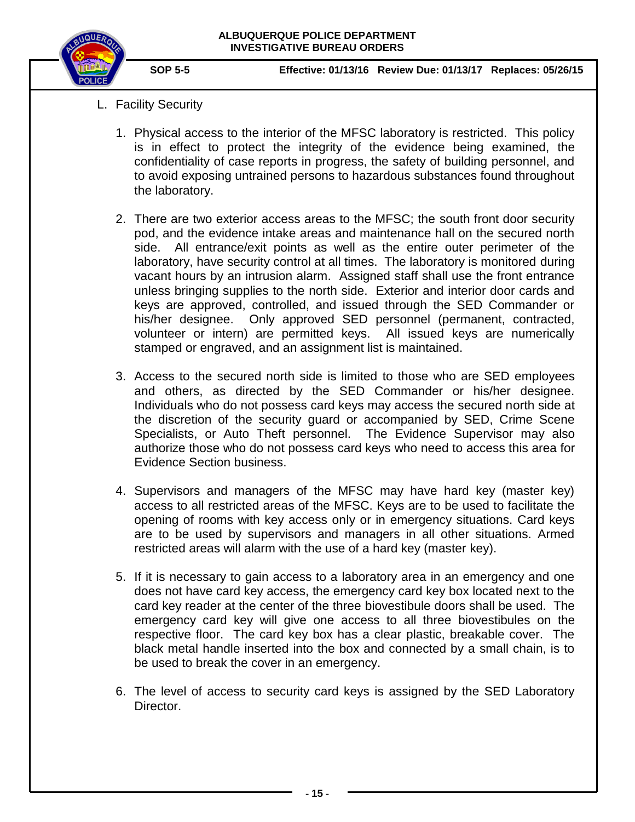

- L. Facility Security
	- 1. Physical access to the interior of the MFSC laboratory is restricted. This policy is in effect to protect the integrity of the evidence being examined, the confidentiality of case reports in progress, the safety of building personnel, and to avoid exposing untrained persons to hazardous substances found throughout the laboratory.
	- 2. There are two exterior access areas to the MFSC; the south front door security pod, and the evidence intake areas and maintenance hall on the secured north side. All entrance/exit points as well as the entire outer perimeter of the laboratory, have security control at all times. The laboratory is monitored during vacant hours by an intrusion alarm. Assigned staff shall use the front entrance unless bringing supplies to the north side. Exterior and interior door cards and keys are approved, controlled, and issued through the SED Commander or his/her designee. Only approved SED personnel (permanent, contracted, volunteer or intern) are permitted keys. All issued keys are numerically stamped or engraved, and an assignment list is maintained.
	- 3. Access to the secured north side is limited to those who are SED employees and others, as directed by the SED Commander or his/her designee. Individuals who do not possess card keys may access the secured north side at the discretion of the security guard or accompanied by SED, Crime Scene Specialists, or Auto Theft personnel. The Evidence Supervisor may also authorize those who do not possess card keys who need to access this area for Evidence Section business.
	- 4. Supervisors and managers of the MFSC may have hard key (master key) access to all restricted areas of the MFSC. Keys are to be used to facilitate the opening of rooms with key access only or in emergency situations. Card keys are to be used by supervisors and managers in all other situations. Armed restricted areas will alarm with the use of a hard key (master key).
	- 5. If it is necessary to gain access to a laboratory area in an emergency and one does not have card key access, the emergency card key box located next to the card key reader at the center of the three biovestibule doors shall be used. The emergency card key will give one access to all three biovestibules on the respective floor. The card key box has a clear plastic, breakable cover. The black metal handle inserted into the box and connected by a small chain, is to be used to break the cover in an emergency.
	- 6. The level of access to security card keys is assigned by the SED Laboratory Director.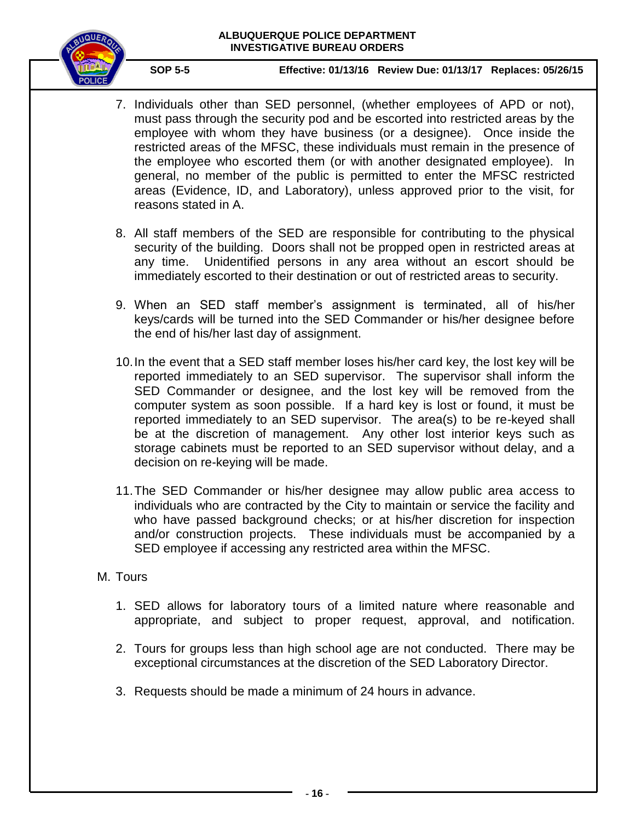

**SOP 5-5 Effective: 01/13/16 Review Due: 01/13/17 Replaces: 05/26/15**

- 7. Individuals other than SED personnel, (whether employees of APD or not), must pass through the security pod and be escorted into restricted areas by the employee with whom they have business (or a designee). Once inside the restricted areas of the MFSC, these individuals must remain in the presence of the employee who escorted them (or with another designated employee). In general, no member of the public is permitted to enter the MFSC restricted areas (Evidence, ID, and Laboratory), unless approved prior to the visit, for reasons stated in A.
- 8. All staff members of the SED are responsible for contributing to the physical security of the building. Doors shall not be propped open in restricted areas at any time. Unidentified persons in any area without an escort should be immediately escorted to their destination or out of restricted areas to security.
- 9. When an SED staff member's assignment is terminated, all of his/her keys/cards will be turned into the SED Commander or his/her designee before the end of his/her last day of assignment.
- 10.In the event that a SED staff member loses his/her card key, the lost key will be reported immediately to an SED supervisor. The supervisor shall inform the SED Commander or designee, and the lost key will be removed from the computer system as soon possible. If a hard key is lost or found, it must be reported immediately to an SED supervisor. The area(s) to be re-keyed shall be at the discretion of management. Any other lost interior keys such as storage cabinets must be reported to an SED supervisor without delay, and a decision on re-keying will be made.
- 11.The SED Commander or his/her designee may allow public area access to individuals who are contracted by the City to maintain or service the facility and who have passed background checks; or at his/her discretion for inspection and/or construction projects. These individuals must be accompanied by a SED employee if accessing any restricted area within the MFSC.

# M. Tours

- 1. SED allows for laboratory tours of a limited nature where reasonable and appropriate, and subject to proper request, approval, and notification.
- 2. Tours for groups less than high school age are not conducted. There may be exceptional circumstances at the discretion of the SED Laboratory Director.
- 3. Requests should be made a minimum of 24 hours in advance.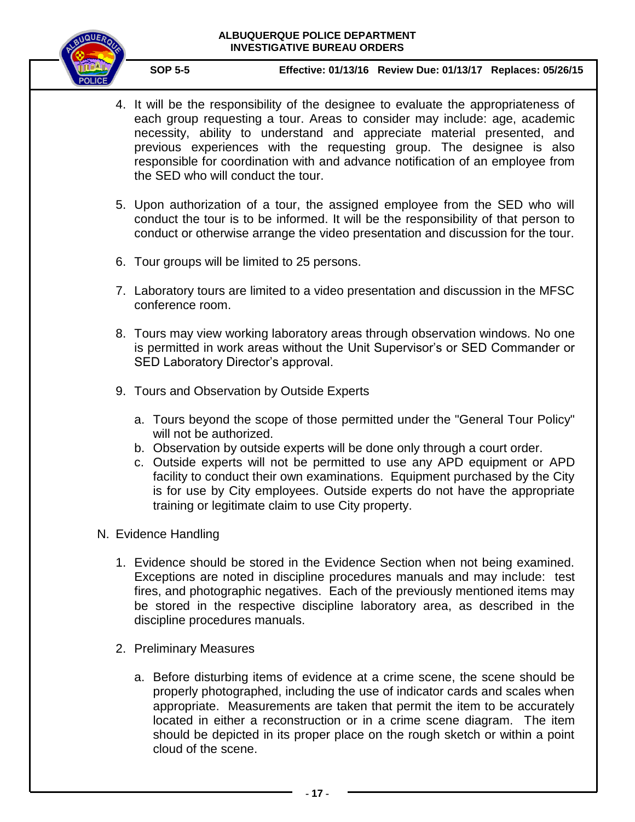

**SOP 5-5 Effective: 01/13/16 Review Due: 01/13/17 Replaces: 05/26/15**

- 4. It will be the responsibility of the designee to evaluate the appropriateness of each group requesting a tour. Areas to consider may include: age, academic necessity, ability to understand and appreciate material presented, and previous experiences with the requesting group. The designee is also responsible for coordination with and advance notification of an employee from the SED who will conduct the tour.
- 5. Upon authorization of a tour, the assigned employee from the SED who will conduct the tour is to be informed. It will be the responsibility of that person to conduct or otherwise arrange the video presentation and discussion for the tour.
- 6. Tour groups will be limited to 25 persons.
- 7. Laboratory tours are limited to a video presentation and discussion in the MFSC conference room.
- 8. Tours may view working laboratory areas through observation windows. No one is permitted in work areas without the Unit Supervisor's or SED Commander or SED Laboratory Director's approval.
- 9. Tours and Observation by Outside Experts
	- a. Tours beyond the scope of those permitted under the "General Tour Policy" will not be authorized.
	- b. Observation by outside experts will be done only through a court order.
	- c. Outside experts will not be permitted to use any APD equipment or APD facility to conduct their own examinations. Equipment purchased by the City is for use by City employees. Outside experts do not have the appropriate training or legitimate claim to use City property.

# N. Evidence Handling

- 1. Evidence should be stored in the Evidence Section when not being examined. Exceptions are noted in discipline procedures manuals and may include: test fires, and photographic negatives. Each of the previously mentioned items may be stored in the respective discipline laboratory area, as described in the discipline procedures manuals.
- 2. Preliminary Measures
	- a. Before disturbing items of evidence at a crime scene, the scene should be properly photographed, including the use of indicator cards and scales when appropriate. Measurements are taken that permit the item to be accurately located in either a reconstruction or in a crime scene diagram. The item should be depicted in its proper place on the rough sketch or within a point cloud of the scene.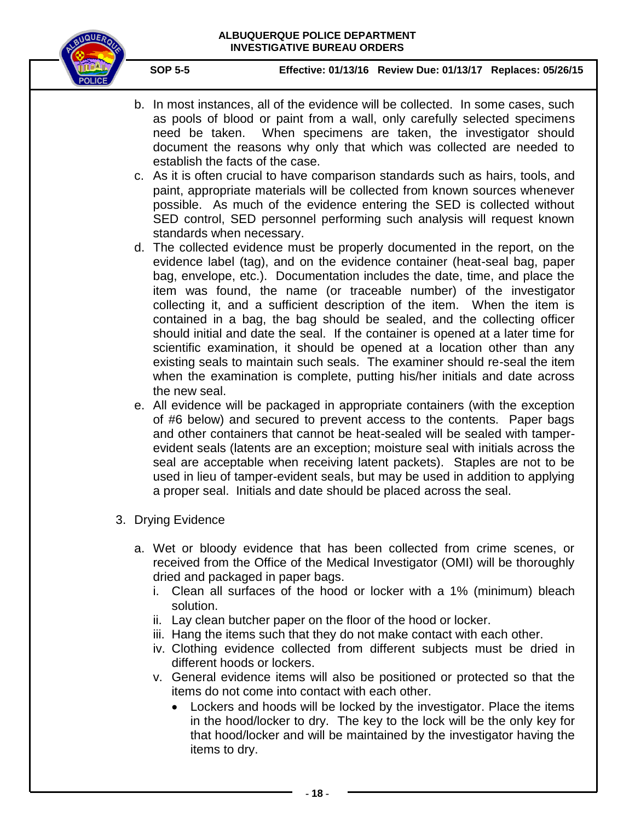

- b. In most instances, all of the evidence will be collected. In some cases, such as pools of blood or paint from a wall, only carefully selected specimens need be taken. When specimens are taken, the investigator should document the reasons why only that which was collected are needed to establish the facts of the case.
- c. As it is often crucial to have comparison standards such as hairs, tools, and paint, appropriate materials will be collected from known sources whenever possible. As much of the evidence entering the SED is collected without SED control, SED personnel performing such analysis will request known standards when necessary.
- d. The collected evidence must be properly documented in the report, on the evidence label (tag), and on the evidence container (heat-seal bag, paper bag, envelope, etc.). Documentation includes the date, time, and place the item was found, the name (or traceable number) of the investigator collecting it, and a sufficient description of the item. When the item is contained in a bag, the bag should be sealed, and the collecting officer should initial and date the seal. If the container is opened at a later time for scientific examination, it should be opened at a location other than any existing seals to maintain such seals. The examiner should re-seal the item when the examination is complete, putting his/her initials and date across the new seal.
- e. All evidence will be packaged in appropriate containers (with the exception of #6 below) and secured to prevent access to the contents. Paper bags and other containers that cannot be heat-sealed will be sealed with tamperevident seals (latents are an exception; moisture seal with initials across the seal are acceptable when receiving latent packets). Staples are not to be used in lieu of tamper-evident seals, but may be used in addition to applying a proper seal. Initials and date should be placed across the seal.
- 3. Drying Evidence
	- a. Wet or bloody evidence that has been collected from crime scenes, or received from the Office of the Medical Investigator (OMI) will be thoroughly dried and packaged in paper bags.
		- i. Clean all surfaces of the hood or locker with a 1% (minimum) bleach solution.
		- ii. Lay clean butcher paper on the floor of the hood or locker.
		- iii. Hang the items such that they do not make contact with each other.
		- iv. Clothing evidence collected from different subjects must be dried in different hoods or lockers.
		- v. General evidence items will also be positioned or protected so that the items do not come into contact with each other.
			- Lockers and hoods will be locked by the investigator. Place the items in the hood/locker to dry. The key to the lock will be the only key for that hood/locker and will be maintained by the investigator having the items to dry.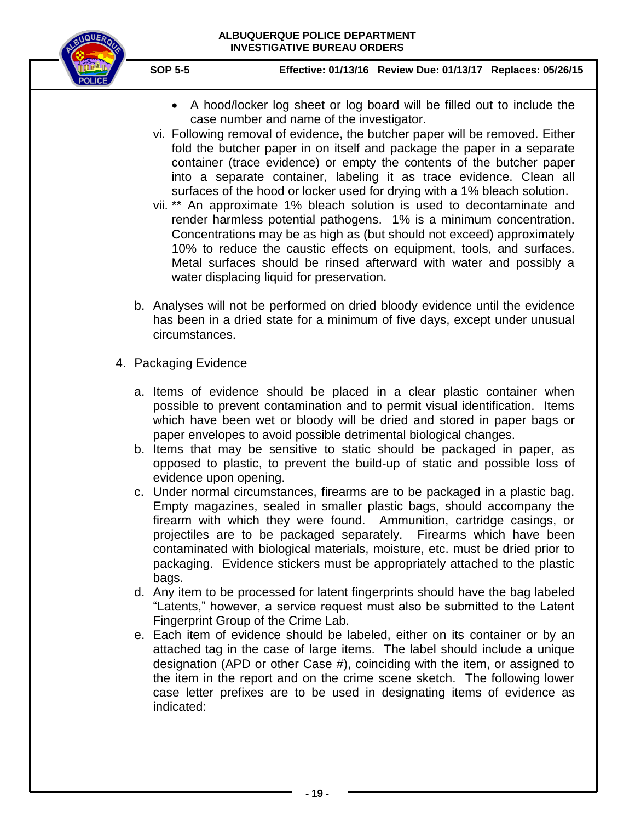

- A hood/locker log sheet or log board will be filled out to include the case number and name of the investigator.
- vi. Following removal of evidence, the butcher paper will be removed. Either fold the butcher paper in on itself and package the paper in a separate container (trace evidence) or empty the contents of the butcher paper into a separate container, labeling it as trace evidence. Clean all surfaces of the hood or locker used for drying with a 1% bleach solution.
- vii. \*\* An approximate 1% bleach solution is used to decontaminate and render harmless potential pathogens. 1% is a minimum concentration. Concentrations may be as high as (but should not exceed) approximately 10% to reduce the caustic effects on equipment, tools, and surfaces. Metal surfaces should be rinsed afterward with water and possibly a water displacing liquid for preservation.
- b. Analyses will not be performed on dried bloody evidence until the evidence has been in a dried state for a minimum of five days, except under unusual circumstances.
- 4. Packaging Evidence
	- a. Items of evidence should be placed in a clear plastic container when possible to prevent contamination and to permit visual identification. Items which have been wet or bloody will be dried and stored in paper bags or paper envelopes to avoid possible detrimental biological changes.
	- b. Items that may be sensitive to static should be packaged in paper, as opposed to plastic, to prevent the build-up of static and possible loss of evidence upon opening.
	- c. Under normal circumstances, firearms are to be packaged in a plastic bag. Empty magazines, sealed in smaller plastic bags, should accompany the firearm with which they were found. Ammunition, cartridge casings, or projectiles are to be packaged separately. Firearms which have been contaminated with biological materials, moisture, etc. must be dried prior to packaging. Evidence stickers must be appropriately attached to the plastic bags.
	- d. Any item to be processed for latent fingerprints should have the bag labeled "Latents," however, a service request must also be submitted to the Latent Fingerprint Group of the Crime Lab.
	- e. Each item of evidence should be labeled, either on its container or by an attached tag in the case of large items. The label should include a unique designation (APD or other Case #), coinciding with the item, or assigned to the item in the report and on the crime scene sketch. The following lower case letter prefixes are to be used in designating items of evidence as indicated: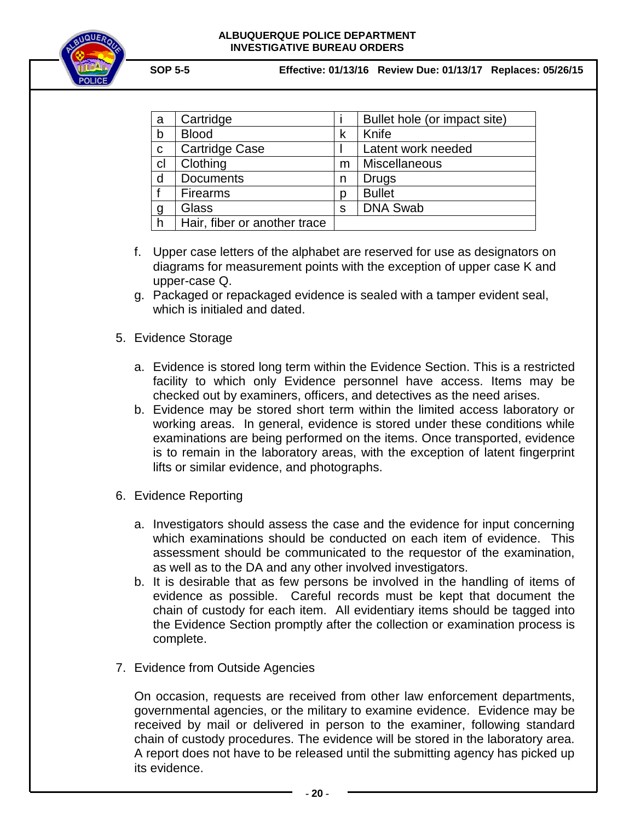

**SOP 5-5 Effective: 01/13/16 Review Due: 01/13/17 Replaces: 05/26/15**

| a              | Cartridge                    |   | Bullet hole (or impact site) |
|----------------|------------------------------|---|------------------------------|
| b              | <b>Blood</b>                 | k | Knife                        |
| C              | Cartridge Case               |   | Latent work needed           |
| cl             | Clothing                     | m | Miscellaneous                |
| d              | <b>Documents</b>             | n | <b>Drugs</b>                 |
|                | <b>Firearms</b>              | D | <b>Bullet</b>                |
| $\overline{g}$ | Glass                        | S | <b>DNA Swab</b>              |
| h              | Hair, fiber or another trace |   |                              |

- f. Upper case letters of the alphabet are reserved for use as designators on diagrams for measurement points with the exception of upper case K and upper-case Q.
- g. Packaged or repackaged evidence is sealed with a tamper evident seal, which is initialed and dated.
- 5. Evidence Storage
	- a. Evidence is stored long term within the Evidence Section. This is a restricted facility to which only Evidence personnel have access. Items may be checked out by examiners, officers, and detectives as the need arises.
	- b. Evidence may be stored short term within the limited access laboratory or working areas. In general, evidence is stored under these conditions while examinations are being performed on the items. Once transported, evidence is to remain in the laboratory areas, with the exception of latent fingerprint lifts or similar evidence, and photographs.
- 6. Evidence Reporting
	- a. Investigators should assess the case and the evidence for input concerning which examinations should be conducted on each item of evidence. This assessment should be communicated to the requestor of the examination, as well as to the DA and any other involved investigators.
	- b. It is desirable that as few persons be involved in the handling of items of evidence as possible. Careful records must be kept that document the chain of custody for each item. All evidentiary items should be tagged into the Evidence Section promptly after the collection or examination process is complete.
- 7. Evidence from Outside Agencies

On occasion, requests are received from other law enforcement departments, governmental agencies, or the military to examine evidence. Evidence may be received by mail or delivered in person to the examiner, following standard chain of custody procedures. The evidence will be stored in the laboratory area. A report does not have to be released until the submitting agency has picked up its evidence.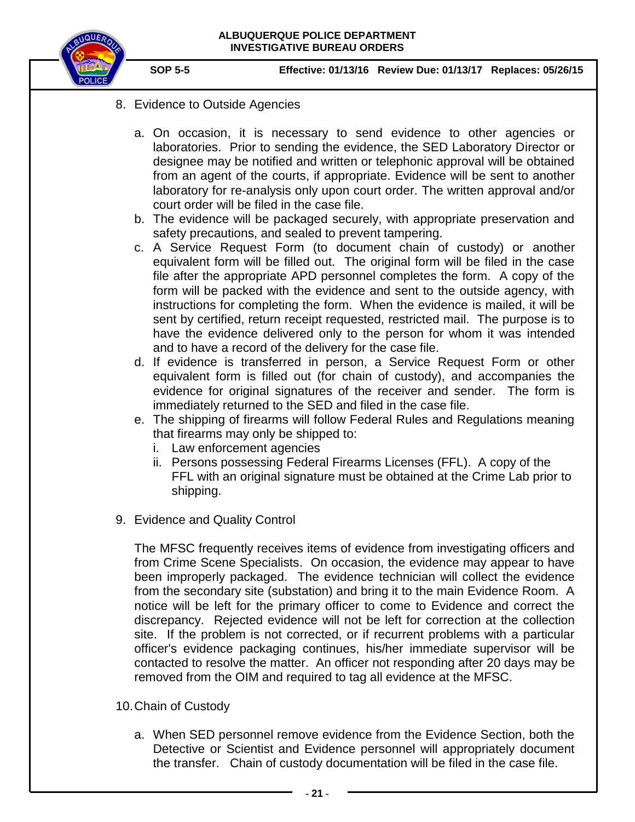

- 8. Evidence to Outside Agencies
	- a. On occasion, it is necessary to send evidence to other agencies or laboratories. Prior to sending the evidence, the SED Laboratory Director or designee may be notified and written or telephonic approval will be obtained from an agent of the courts, if appropriate. Evidence will be sent to another laboratory for re-analysis only upon court order. The written approval and/or court order will be filed in the case file.
	- b. The evidence will be packaged securely, with appropriate preservation and safety precautions, and sealed to prevent tampering.
	- c. A Service Request Form (to document chain of custody) or another equivalent form will be filled out. The original form will be filed in the case file after the appropriate APD personnel completes the form. A copy of the form will be packed with the evidence and sent to the outside agency, with instructions for completing the form. When the evidence is mailed, it will be sent by certified, return receipt requested, restricted mail. The purpose is to have the evidence delivered only to the person for whom it was intended and to have a record of the delivery for the case file.
	- d. If evidence is transferred in person, a Service Request Form or other equivalent form is filled out (for chain of custody), and accompanies the evidence for original signatures of the receiver and sender. The form is immediately returned to the SED and filed in the case file.
	- e. The shipping of firearms will follow Federal Rules and Regulations meaning that firearms may only be shipped to:
		- i. Law enforcement agencies
		- ii. Persons possessing Federal Firearms Licenses (FFL). A copy of the FFL with an original signature must be obtained at the Crime Lab prior to shipping.
- 9. Evidence and Quality Control

The MFSC frequently receives items of evidence from investigating officers and from Crime Scene Specialists. On occasion, the evidence may appear to have been improperly packaged. The evidence technician will collect the evidence from the secondary site (substation) and bring it to the main Evidence Room. A notice will be left for the primary officer to come to Evidence and correct the discrepancy. Rejected evidence will not be left for correction at the collection site. If the problem is not corrected, or if recurrent problems with a particular officer's evidence packaging continues, his/her immediate supervisor will be contacted to resolve the matter. An officer not responding after 20 days may be removed from the OIM and required to tag all evidence at the MFSC.

- 10.Chain of Custody
	- a. When SED personnel remove evidence from the Evidence Section, both the Detective or Scientist and Evidence personnel will appropriately document the transfer. Chain of custody documentation will be filed in the case file.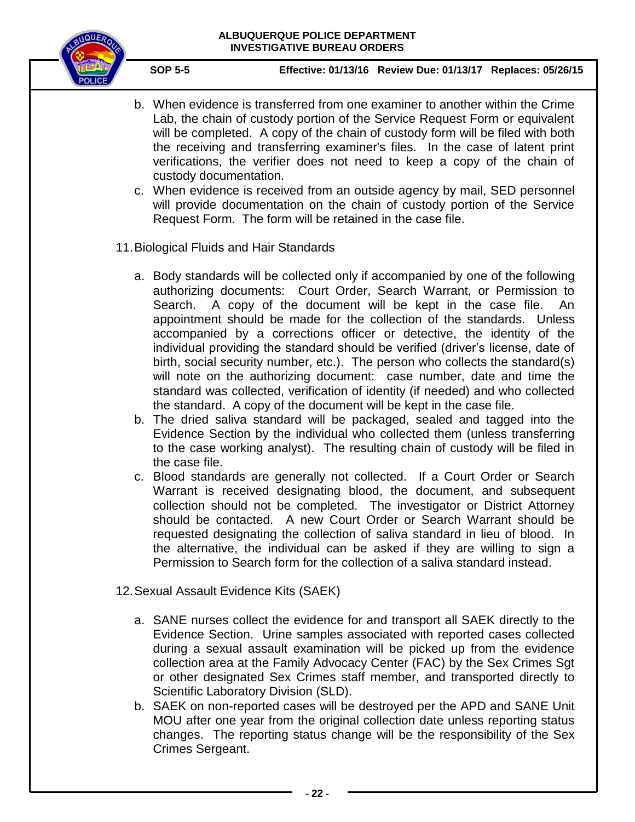

- b. When evidence is transferred from one examiner to another within the Crime Lab, the chain of custody portion of the Service Request Form or equivalent will be completed. A copy of the chain of custody form will be filed with both the receiving and transferring examiner's files. In the case of latent print verifications, the verifier does not need to keep a copy of the chain of custody documentation.
- c. When evidence is received from an outside agency by mail, SED personnel will provide documentation on the chain of custody portion of the Service Request Form. The form will be retained in the case file.
- 11.Biological Fluids and Hair Standards
	- a. Body standards will be collected only if accompanied by one of the following authorizing documents: Court Order, Search Warrant, or Permission to Search. A copy of the document will be kept in the case file. An appointment should be made for the collection of the standards. Unless accompanied by a corrections officer or detective, the identity of the individual providing the standard should be verified (driver's license, date of birth, social security number, etc.). The person who collects the standard(s) will note on the authorizing document: case number, date and time the standard was collected, verification of identity (if needed) and who collected the standard. A copy of the document will be kept in the case file.
	- b. The dried saliva standard will be packaged, sealed and tagged into the Evidence Section by the individual who collected them (unless transferring to the case working analyst). The resulting chain of custody will be filed in the case file.
	- c. Blood standards are generally not collected. If a Court Order or Search Warrant is received designating blood, the document, and subsequent collection should not be completed. The investigator or District Attorney should be contacted. A new Court Order or Search Warrant should be requested designating the collection of saliva standard in lieu of blood. In the alternative, the individual can be asked if they are willing to sign a Permission to Search form for the collection of a saliva standard instead.
- 12.Sexual Assault Evidence Kits (SAEK)
	- a. SANE nurses collect the evidence for and transport all SAEK directly to the Evidence Section. Urine samples associated with reported cases collected during a sexual assault examination will be picked up from the evidence collection area at the Family Advocacy Center (FAC) by the Sex Crimes Sgt or other designated Sex Crimes staff member, and transported directly to Scientific Laboratory Division (SLD).
	- b. SAEK on non-reported cases will be destroyed per the APD and SANE Unit MOU after one year from the original collection date unless reporting status changes. The reporting status change will be the responsibility of the Sex Crimes Sergeant.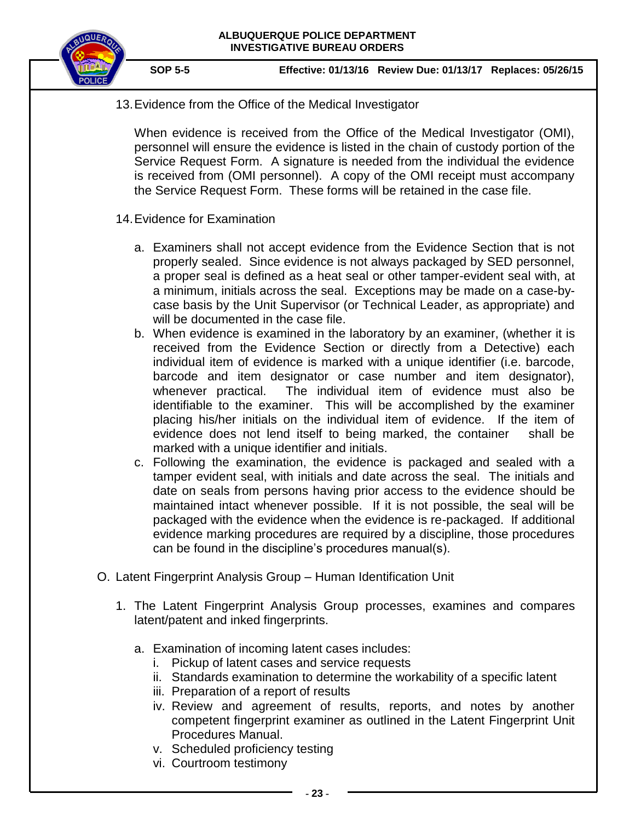

13.Evidence from the Office of the Medical Investigator

When evidence is received from the Office of the Medical Investigator (OMI), personnel will ensure the evidence is listed in the chain of custody portion of the Service Request Form. A signature is needed from the individual the evidence is received from (OMI personnel). A copy of the OMI receipt must accompany the Service Request Form. These forms will be retained in the case file.

- 14.Evidence for Examination
	- a. Examiners shall not accept evidence from the Evidence Section that is not properly sealed. Since evidence is not always packaged by SED personnel, a proper seal is defined as a heat seal or other tamper-evident seal with, at a minimum, initials across the seal. Exceptions may be made on a case-bycase basis by the Unit Supervisor (or Technical Leader, as appropriate) and will be documented in the case file.
	- b. When evidence is examined in the laboratory by an examiner, (whether it is received from the Evidence Section or directly from a Detective) each individual item of evidence is marked with a unique identifier (i.e. barcode, barcode and item designator or case number and item designator), whenever practical. The individual item of evidence must also be identifiable to the examiner. This will be accomplished by the examiner placing his/her initials on the individual item of evidence. If the item of evidence does not lend itself to being marked, the container shall be marked with a unique identifier and initials.
	- c. Following the examination, the evidence is packaged and sealed with a tamper evident seal, with initials and date across the seal. The initials and date on seals from persons having prior access to the evidence should be maintained intact whenever possible. If it is not possible, the seal will be packaged with the evidence when the evidence is re-packaged. If additional evidence marking procedures are required by a discipline, those procedures can be found in the discipline's procedures manual(s).
- O. Latent Fingerprint Analysis Group Human Identification Unit
	- 1. The Latent Fingerprint Analysis Group processes, examines and compares latent/patent and inked fingerprints.
		- a. Examination of incoming latent cases includes:
			- i. Pickup of latent cases and service requests
			- ii. Standards examination to determine the workability of a specific latent
			- iii. Preparation of a report of results
			- iv. Review and agreement of results, reports, and notes by another competent fingerprint examiner as outlined in the Latent Fingerprint Unit Procedures Manual.
			- v. Scheduled proficiency testing
			- vi. Courtroom testimony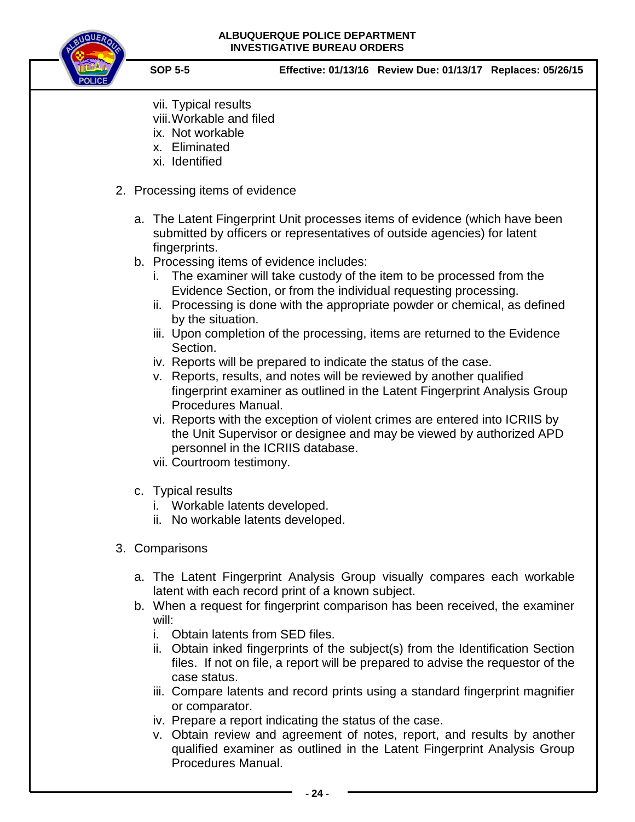

- vii. Typical results
- viii.Workable and filed
- ix. Not workable
- x. Eliminated
- xi. Identified
- 2. Processing items of evidence
	- a. The Latent Fingerprint Unit processes items of evidence (which have been submitted by officers or representatives of outside agencies) for latent fingerprints.
	- b. Processing items of evidence includes:
		- i. The examiner will take custody of the item to be processed from the Evidence Section, or from the individual requesting processing.
		- ii. Processing is done with the appropriate powder or chemical, as defined by the situation.
		- iii. Upon completion of the processing, items are returned to the Evidence Section.
		- iv. Reports will be prepared to indicate the status of the case.
		- v. Reports, results, and notes will be reviewed by another qualified fingerprint examiner as outlined in the Latent Fingerprint Analysis Group Procedures Manual.
		- vi. Reports with the exception of violent crimes are entered into ICRIIS by the Unit Supervisor or designee and may be viewed by authorized APD personnel in the ICRIIS database.
		- vii. Courtroom testimony.
	- c. Typical results
		- i. Workable latents developed.
		- ii. No workable latents developed.
- 3. Comparisons
	- a. The Latent Fingerprint Analysis Group visually compares each workable latent with each record print of a known subject.
	- b. When a request for fingerprint comparison has been received, the examiner will:
		- i. Obtain latents from SED files.
		- ii. Obtain inked fingerprints of the subject(s) from the Identification Section files. If not on file, a report will be prepared to advise the requestor of the case status.
		- iii. Compare latents and record prints using a standard fingerprint magnifier or comparator.
		- iv. Prepare a report indicating the status of the case.
		- v. Obtain review and agreement of notes, report, and results by another qualified examiner as outlined in the Latent Fingerprint Analysis Group Procedures Manual.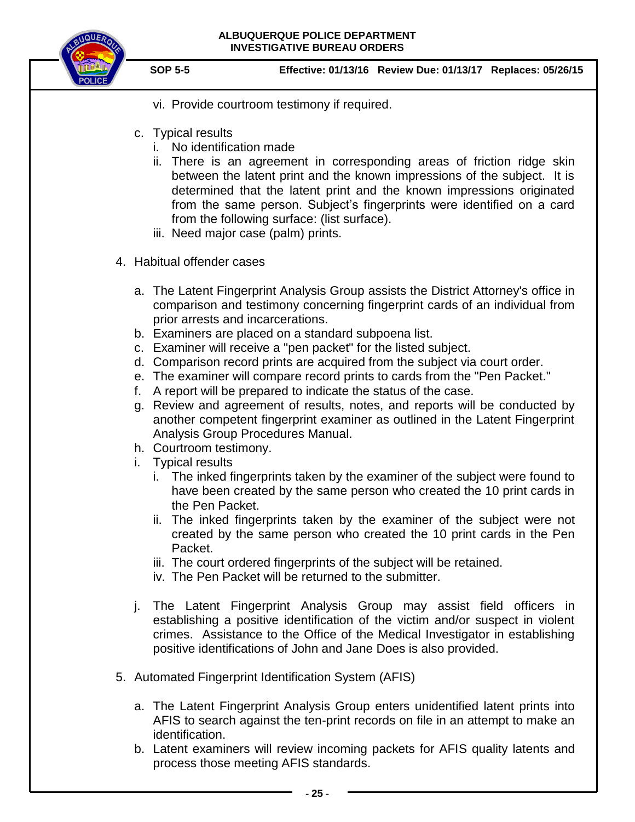

- vi. Provide courtroom testimony if required.
- c. Typical results
	- i. No identification made
	- ii. There is an agreement in corresponding areas of friction ridge skin between the latent print and the known impressions of the subject. It is determined that the latent print and the known impressions originated from the same person. Subject's fingerprints were identified on a card from the following surface: (list surface).
	- iii. Need major case (palm) prints.
- 4. Habitual offender cases
	- a. The Latent Fingerprint Analysis Group assists the District Attorney's office in comparison and testimony concerning fingerprint cards of an individual from prior arrests and incarcerations.
	- b. Examiners are placed on a standard subpoena list.
	- c. Examiner will receive a "pen packet" for the listed subject.
	- d. Comparison record prints are acquired from the subject via court order.
	- e. The examiner will compare record prints to cards from the "Pen Packet."
	- f. A report will be prepared to indicate the status of the case.
	- g. Review and agreement of results, notes, and reports will be conducted by another competent fingerprint examiner as outlined in the Latent Fingerprint Analysis Group Procedures Manual.
	- h. Courtroom testimony.
	- i. Typical results
		- i. The inked fingerprints taken by the examiner of the subject were found to have been created by the same person who created the 10 print cards in the Pen Packet.
		- ii. The inked fingerprints taken by the examiner of the subject were not created by the same person who created the 10 print cards in the Pen Packet.
		- iii. The court ordered fingerprints of the subject will be retained.
		- iv. The Pen Packet will be returned to the submitter.
	- j. The Latent Fingerprint Analysis Group may assist field officers in establishing a positive identification of the victim and/or suspect in violent crimes. Assistance to the Office of the Medical Investigator in establishing positive identifications of John and Jane Does is also provided.
- 5. Automated Fingerprint Identification System (AFIS)
	- a. The Latent Fingerprint Analysis Group enters unidentified latent prints into AFIS to search against the ten-print records on file in an attempt to make an identification.
	- b. Latent examiners will review incoming packets for AFIS quality latents and process those meeting AFIS standards.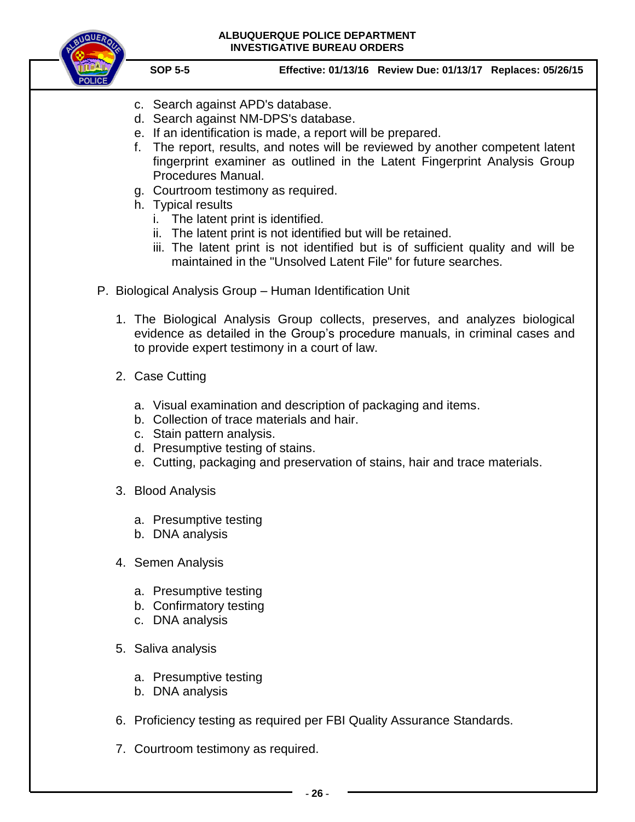

- c. Search against APD's database.
- d. Search against NM-DPS's database.
- e. If an identification is made, a report will be prepared.
- f. The report, results, and notes will be reviewed by another competent latent fingerprint examiner as outlined in the Latent Fingerprint Analysis Group Procedures Manual.
- g. Courtroom testimony as required.
- h. Typical results
	- i. The latent print is identified.
	- ii. The latent print is not identified but will be retained.
	- iii. The latent print is not identified but is of sufficient quality and will be maintained in the "Unsolved Latent File" for future searches.
- P. Biological Analysis Group Human Identification Unit
	- 1. The Biological Analysis Group collects, preserves, and analyzes biological evidence as detailed in the Group's procedure manuals, in criminal cases and to provide expert testimony in a court of law.
	- 2. Case Cutting
		- a. Visual examination and description of packaging and items.
		- b. Collection of trace materials and hair.
		- c. Stain pattern analysis.
		- d. Presumptive testing of stains.
		- e. Cutting, packaging and preservation of stains, hair and trace materials.
	- 3. Blood Analysis
		- a. Presumptive testing
		- b. DNA analysis
	- 4. Semen Analysis
		- a. Presumptive testing
		- b. Confirmatory testing
		- c. DNA analysis
	- 5. Saliva analysis
		- a. Presumptive testing
		- b. DNA analysis
	- 6. Proficiency testing as required per FBI Quality Assurance Standards.
	- 7. Courtroom testimony as required.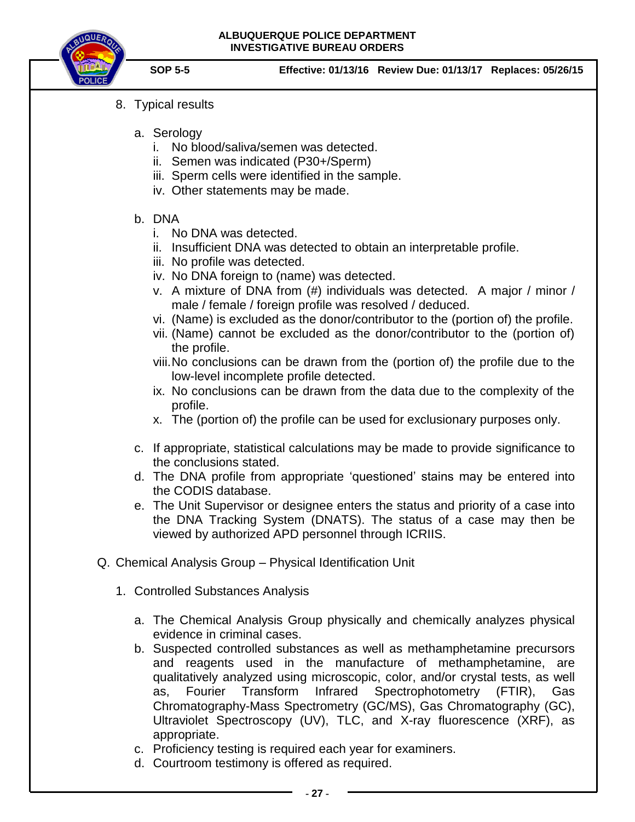

- 8. Typical results
	- a. Serology
		- i. No blood/saliva/semen was detected.
		- ii. Semen was indicated (P30+/Sperm)
		- iii. Sperm cells were identified in the sample.
		- iv. Other statements may be made.

# b. DNA

- i. No DNA was detected.
- ii. Insufficient DNA was detected to obtain an interpretable profile.
- iii. No profile was detected.
- iv. No DNA foreign to (name) was detected.
- v. A mixture of DNA from (#) individuals was detected. A major / minor / male / female / foreign profile was resolved / deduced.
- vi. (Name) is excluded as the donor/contributor to the (portion of) the profile.
- vii. (Name) cannot be excluded as the donor/contributor to the (portion of) the profile.
- viii.No conclusions can be drawn from the (portion of) the profile due to the low-level incomplete profile detected.
- ix. No conclusions can be drawn from the data due to the complexity of the profile.
- x. The (portion of) the profile can be used for exclusionary purposes only.
- c. If appropriate, statistical calculations may be made to provide significance to the conclusions stated.
- d. The DNA profile from appropriate 'questioned' stains may be entered into the CODIS database.
- e. The Unit Supervisor or designee enters the status and priority of a case into the DNA Tracking System (DNATS). The status of a case may then be viewed by authorized APD personnel through ICRIIS.
- Q. Chemical Analysis Group Physical Identification Unit
	- 1. Controlled Substances Analysis
		- a. The Chemical Analysis Group physically and chemically analyzes physical evidence in criminal cases.
		- b. Suspected controlled substances as well as methamphetamine precursors and reagents used in the manufacture of methamphetamine, are qualitatively analyzed using microscopic, color, and/or crystal tests, as well as, Fourier Transform Infrared Spectrophotometry (FTIR), Gas Chromatography-Mass Spectrometry (GC/MS), Gas Chromatography (GC), Ultraviolet Spectroscopy (UV), TLC, and X-ray fluorescence (XRF), as appropriate.
		- c. Proficiency testing is required each year for examiners.
		- d. Courtroom testimony is offered as required.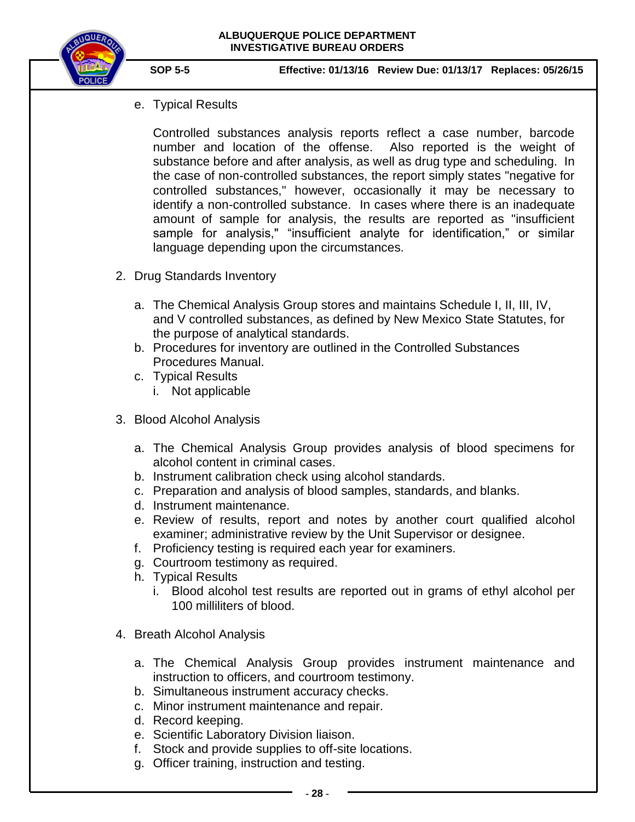

e. Typical Results

Controlled substances analysis reports reflect a case number, barcode number and location of the offense. Also reported is the weight of substance before and after analysis, as well as drug type and scheduling. In the case of non-controlled substances, the report simply states "negative for controlled substances," however, occasionally it may be necessary to identify a non-controlled substance. In cases where there is an inadequate amount of sample for analysis, the results are reported as "insufficient sample for analysis," "insufficient analyte for identification," or similar language depending upon the circumstances.

- 2. Drug Standards Inventory
	- a. The Chemical Analysis Group stores and maintains Schedule I, II, III, IV, and V controlled substances, as defined by New Mexico State Statutes, for the purpose of analytical standards.
	- b. Procedures for inventory are outlined in the Controlled Substances Procedures Manual.
	- c. Typical Results i. Not applicable
- 3. Blood Alcohol Analysis
	- a. The Chemical Analysis Group provides analysis of blood specimens for alcohol content in criminal cases.
	- b. Instrument calibration check using alcohol standards.
	- c. Preparation and analysis of blood samples, standards, and blanks.
	- d. Instrument maintenance.
	- e. Review of results, report and notes by another court qualified alcohol examiner; administrative review by the Unit Supervisor or designee.
	- f. Proficiency testing is required each year for examiners.
	- g. Courtroom testimony as required.
	- h. Typical Results
		- i. Blood alcohol test results are reported out in grams of ethyl alcohol per 100 milliliters of blood.
- 4. Breath Alcohol Analysis
	- a. The Chemical Analysis Group provides instrument maintenance and instruction to officers, and courtroom testimony.
	- b. Simultaneous instrument accuracy checks.
	- c. Minor instrument maintenance and repair.
	- d. Record keeping.
	- e. Scientific Laboratory Division liaison.
	- f. Stock and provide supplies to off-site locations.
	- g. Officer training, instruction and testing.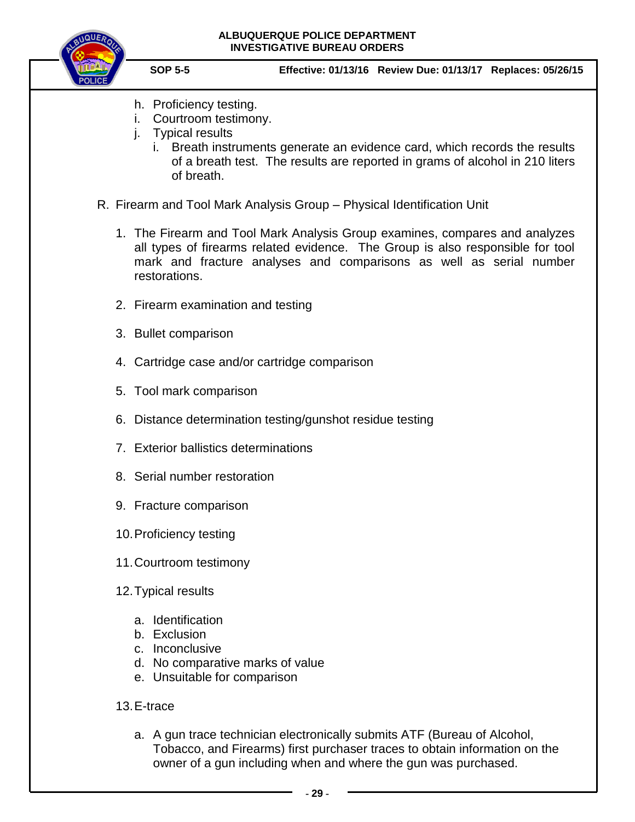

- h. Proficiency testing.
- i. Courtroom testimony.
- j. Typical results
	- i. Breath instruments generate an evidence card, which records the results of a breath test. The results are reported in grams of alcohol in 210 liters of breath.
- R. Firearm and Tool Mark Analysis Group Physical Identification Unit
	- 1. The Firearm and Tool Mark Analysis Group examines, compares and analyzes all types of firearms related evidence. The Group is also responsible for tool mark and fracture analyses and comparisons as well as serial number restorations.
	- 2. Firearm examination and testing
	- 3. Bullet comparison
	- 4. Cartridge case and/or cartridge comparison
	- 5. Tool mark comparison
	- 6. Distance determination testing/gunshot residue testing
	- 7. Exterior ballistics determinations
	- 8. Serial number restoration
	- 9. Fracture comparison
	- 10.Proficiency testing
	- 11.Courtroom testimony
	- 12.Typical results
		- a. Identification
		- b. Exclusion
		- c. Inconclusive
		- d. No comparative marks of value
		- e. Unsuitable for comparison
	- 13.E-trace
		- a. A gun trace technician electronically submits ATF (Bureau of Alcohol, Tobacco, and Firearms) first purchaser traces to obtain information on the owner of a gun including when and where the gun was purchased.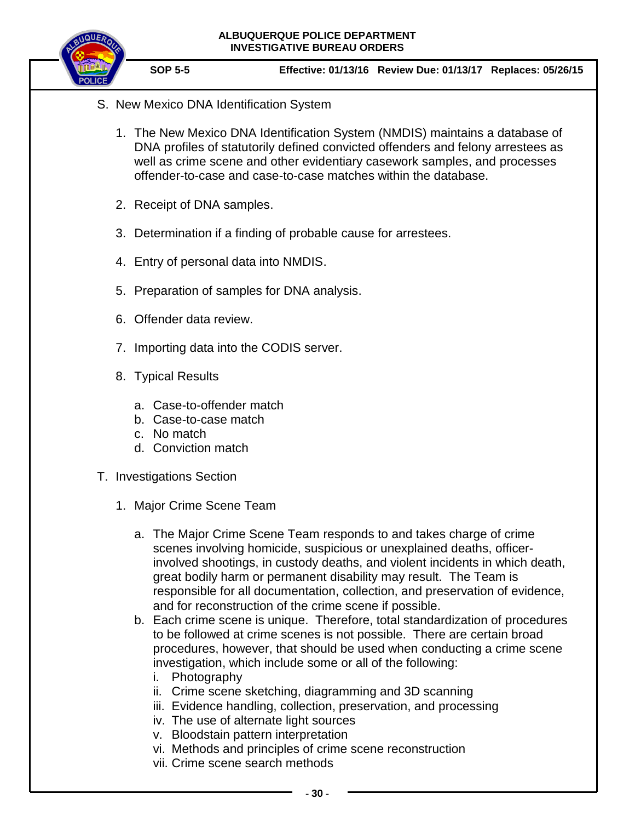

- S. New Mexico DNA Identification System
	- 1. The New Mexico DNA Identification System (NMDIS) maintains a database of DNA profiles of statutorily defined convicted offenders and felony arrestees as well as crime scene and other evidentiary casework samples, and processes offender-to-case and case-to-case matches within the database.
	- 2. Receipt of DNA samples.
	- 3. Determination if a finding of probable cause for arrestees.
	- 4. Entry of personal data into NMDIS.
	- 5. Preparation of samples for DNA analysis.
	- 6. Offender data review.
	- 7. Importing data into the CODIS server.
	- 8. Typical Results
		- a. Case-to-offender match
		- b. Case-to-case match
		- c. No match
		- d. Conviction match
- T. Investigations Section
	- 1. Major Crime Scene Team
		- a. The Major Crime Scene Team responds to and takes charge of crime scenes involving homicide, suspicious or unexplained deaths, officerinvolved shootings, in custody deaths, and violent incidents in which death, great bodily harm or permanent disability may result. The Team is responsible for all documentation, collection, and preservation of evidence, and for reconstruction of the crime scene if possible.
		- b. Each crime scene is unique. Therefore, total standardization of procedures to be followed at crime scenes is not possible. There are certain broad procedures, however, that should be used when conducting a crime scene investigation, which include some or all of the following:
			- i. Photography
			- ii. Crime scene sketching, diagramming and 3D scanning
			- iii. Evidence handling, collection, preservation, and processing
			- iv. The use of alternate light sources
			- v. Bloodstain pattern interpretation
			- vi. Methods and principles of crime scene reconstruction
			- vii. Crime scene search methods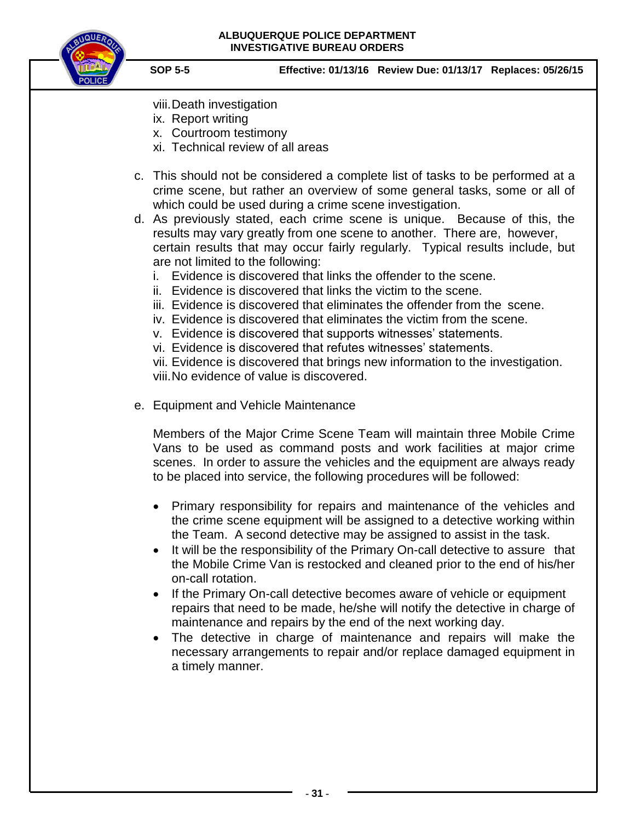

- viii.Death investigation
- ix. Report writing
- x. Courtroom testimony
- xi. Technical review of all areas
- c. This should not be considered a complete list of tasks to be performed at a crime scene, but rather an overview of some general tasks, some or all of which could be used during a crime scene investigation.
- d. As previously stated, each crime scene is unique. Because of this, the results may vary greatly from one scene to another. There are, however, certain results that may occur fairly regularly. Typical results include, but are not limited to the following:
	- i. Evidence is discovered that links the offender to the scene.
	- ii. Evidence is discovered that links the victim to the scene.
	- iii. Evidence is discovered that eliminates the offender from the scene.
	- iv. Evidence is discovered that eliminates the victim from the scene.
	- v. Evidence is discovered that supports witnesses' statements.
	- vi. Evidence is discovered that refutes witnesses' statements.

vii. Evidence is discovered that brings new information to the investigation. viii.No evidence of value is discovered.

e. Equipment and Vehicle Maintenance

Members of the Major Crime Scene Team will maintain three Mobile Crime Vans to be used as command posts and work facilities at major crime scenes. In order to assure the vehicles and the equipment are always ready to be placed into service, the following procedures will be followed:

- Primary responsibility for repairs and maintenance of the vehicles and the crime scene equipment will be assigned to a detective working within the Team. A second detective may be assigned to assist in the task.
- It will be the responsibility of the Primary On-call detective to assure that the Mobile Crime Van is restocked and cleaned prior to the end of his/her on-call rotation.
- If the Primary On-call detective becomes aware of vehicle or equipment repairs that need to be made, he/she will notify the detective in charge of maintenance and repairs by the end of the next working day.
- The detective in charge of maintenance and repairs will make the necessary arrangements to repair and/or replace damaged equipment in a timely manner.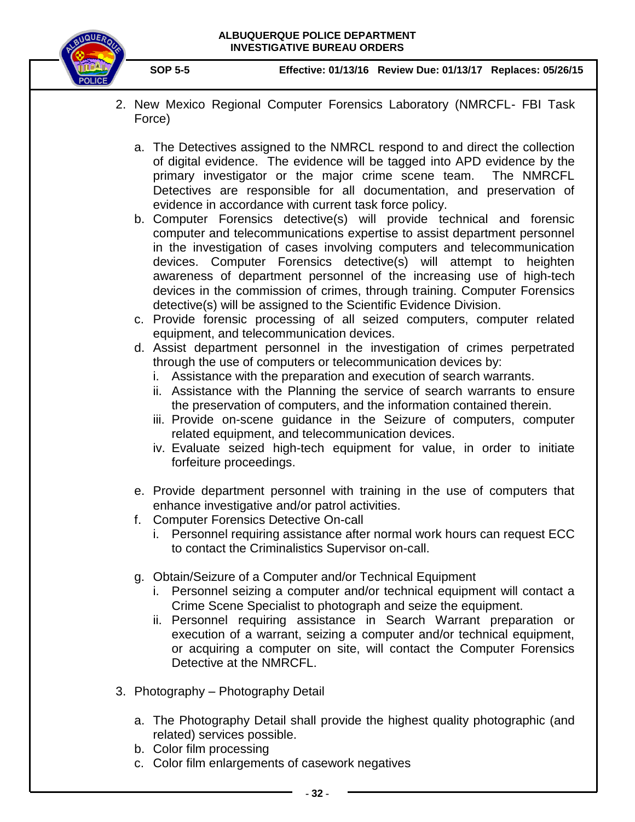

- 2. New Mexico Regional Computer Forensics Laboratory (NMRCFL- FBI Task Force)
	- a. The Detectives assigned to the NMRCL respond to and direct the collection of digital evidence. The evidence will be tagged into APD evidence by the primary investigator or the major crime scene team. The NMRCFL Detectives are responsible for all documentation, and preservation of evidence in accordance with current task force policy.
	- b. Computer Forensics detective(s) will provide technical and forensic computer and telecommunications expertise to assist department personnel in the investigation of cases involving computers and telecommunication devices. Computer Forensics detective(s) will attempt to heighten awareness of department personnel of the increasing use of high-tech devices in the commission of crimes, through training. Computer Forensics detective(s) will be assigned to the Scientific Evidence Division.
	- c. Provide forensic processing of all seized computers, computer related equipment, and telecommunication devices.
	- d. Assist department personnel in the investigation of crimes perpetrated through the use of computers or telecommunication devices by:
		- i. Assistance with the preparation and execution of search warrants.
		- ii. Assistance with the Planning the service of search warrants to ensure the preservation of computers, and the information contained therein.
		- iii. Provide on-scene guidance in the Seizure of computers, computer related equipment, and telecommunication devices.
		- iv. Evaluate seized high-tech equipment for value, in order to initiate forfeiture proceedings.
	- e. Provide department personnel with training in the use of computers that enhance investigative and/or patrol activities.
	- f. Computer Forensics Detective On-call
		- i. Personnel requiring assistance after normal work hours can request ECC to contact the Criminalistics Supervisor on-call.
	- g. Obtain/Seizure of a Computer and/or Technical Equipment
		- i. Personnel seizing a computer and/or technical equipment will contact a Crime Scene Specialist to photograph and seize the equipment.
		- ii. Personnel requiring assistance in Search Warrant preparation or execution of a warrant, seizing a computer and/or technical equipment, or acquiring a computer on site, will contact the Computer Forensics Detective at the NMRCFL.
- 3. Photography Photography Detail
	- a. The Photography Detail shall provide the highest quality photographic (and related) services possible.
	- b. Color film processing
	- c. Color film enlargements of casework negatives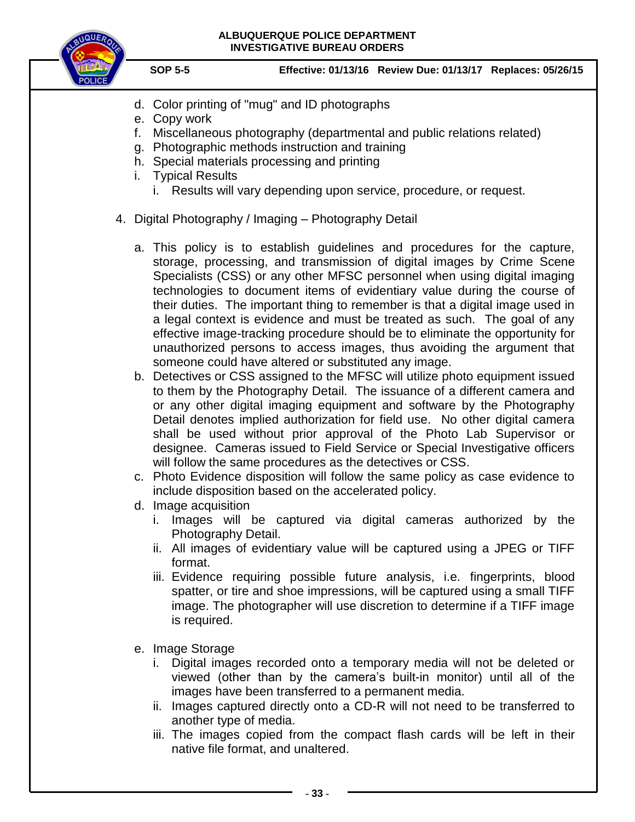

- d. Color printing of "mug" and ID photographs
- e. Copy work
- f. Miscellaneous photography (departmental and public relations related)
- g. Photographic methods instruction and training
- h. Special materials processing and printing
- i. Typical Results
	- i. Results will vary depending upon service, procedure, or request.
- 4. Digital Photography / Imaging Photography Detail
	- a. This policy is to establish guidelines and procedures for the capture, storage, processing, and transmission of digital images by Crime Scene Specialists (CSS) or any other MFSC personnel when using digital imaging technologies to document items of evidentiary value during the course of their duties. The important thing to remember is that a digital image used in a legal context is evidence and must be treated as such. The goal of any effective image-tracking procedure should be to eliminate the opportunity for unauthorized persons to access images, thus avoiding the argument that someone could have altered or substituted any image.
	- b. Detectives or CSS assigned to the MFSC will utilize photo equipment issued to them by the Photography Detail. The issuance of a different camera and or any other digital imaging equipment and software by the Photography Detail denotes implied authorization for field use. No other digital camera shall be used without prior approval of the Photo Lab Supervisor or designee. Cameras issued to Field Service or Special Investigative officers will follow the same procedures as the detectives or CSS.
	- c. Photo Evidence disposition will follow the same policy as case evidence to include disposition based on the accelerated policy.
	- d. Image acquisition
		- i. Images will be captured via digital cameras authorized by the Photography Detail.
		- ii. All images of evidentiary value will be captured using a JPEG or TIFF format.
		- iii. Evidence requiring possible future analysis, i.e. fingerprints, blood spatter, or tire and shoe impressions, will be captured using a small TIFF image. The photographer will use discretion to determine if a TIFF image is required.
	- e. Image Storage
		- i. Digital images recorded onto a temporary media will not be deleted or viewed (other than by the camera's built-in monitor) until all of the images have been transferred to a permanent media.
		- ii. Images captured directly onto a CD-R will not need to be transferred to another type of media.
		- iii. The images copied from the compact flash cards will be left in their native file format, and unaltered.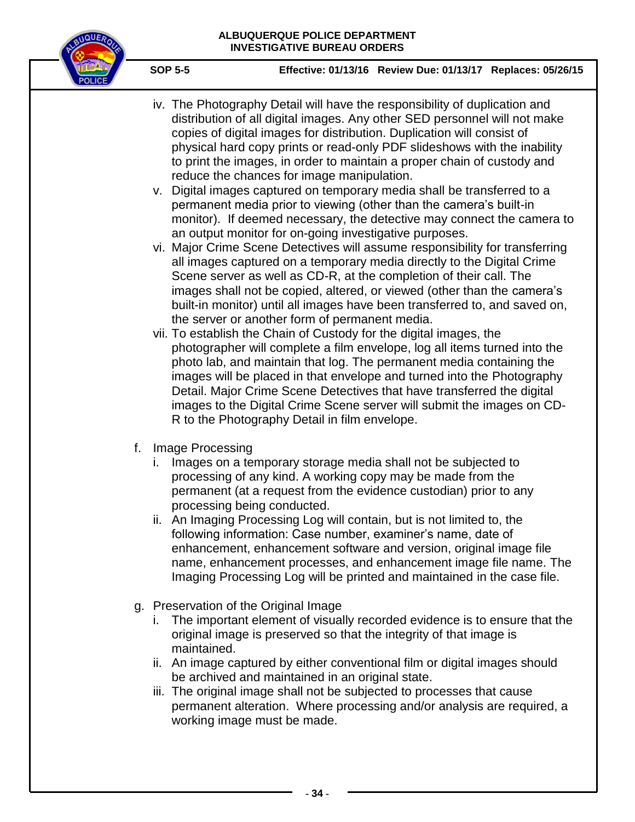

- iv. The Photography Detail will have the responsibility of duplication and distribution of all digital images. Any other SED personnel will not make copies of digital images for distribution. Duplication will consist of physical hard copy prints or read-only PDF slideshows with the inability to print the images, in order to maintain a proper chain of custody and reduce the chances for image manipulation.
- v. Digital images captured on temporary media shall be transferred to a permanent media prior to viewing (other than the camera's built-in monitor). If deemed necessary, the detective may connect the camera to an output monitor for on-going investigative purposes.
- vi. Major Crime Scene Detectives will assume responsibility for transferring all images captured on a temporary media directly to the Digital Crime Scene server as well as CD-R, at the completion of their call. The images shall not be copied, altered, or viewed (other than the camera's built-in monitor) until all images have been transferred to, and saved on, the server or another form of permanent media.
- vii. To establish the Chain of Custody for the digital images, the photographer will complete a film envelope, log all items turned into the photo lab, and maintain that log. The permanent media containing the images will be placed in that envelope and turned into the Photography Detail. Major Crime Scene Detectives that have transferred the digital images to the Digital Crime Scene server will submit the images on CD-R to the Photography Detail in film envelope.
- f. Image Processing
	- i. Images on a temporary storage media shall not be subjected to processing of any kind. A working copy may be made from the permanent (at a request from the evidence custodian) prior to any processing being conducted.
	- ii. An Imaging Processing Log will contain, but is not limited to, the following information: Case number, examiner's name, date of enhancement, enhancement software and version, original image file name, enhancement processes, and enhancement image file name. The Imaging Processing Log will be printed and maintained in the case file.
- g. Preservation of the Original Image
	- i. The important element of visually recorded evidence is to ensure that the original image is preserved so that the integrity of that image is maintained.
	- ii. An image captured by either conventional film or digital images should be archived and maintained in an original state.
	- iii. The original image shall not be subjected to processes that cause permanent alteration. Where processing and/or analysis are required, a working image must be made.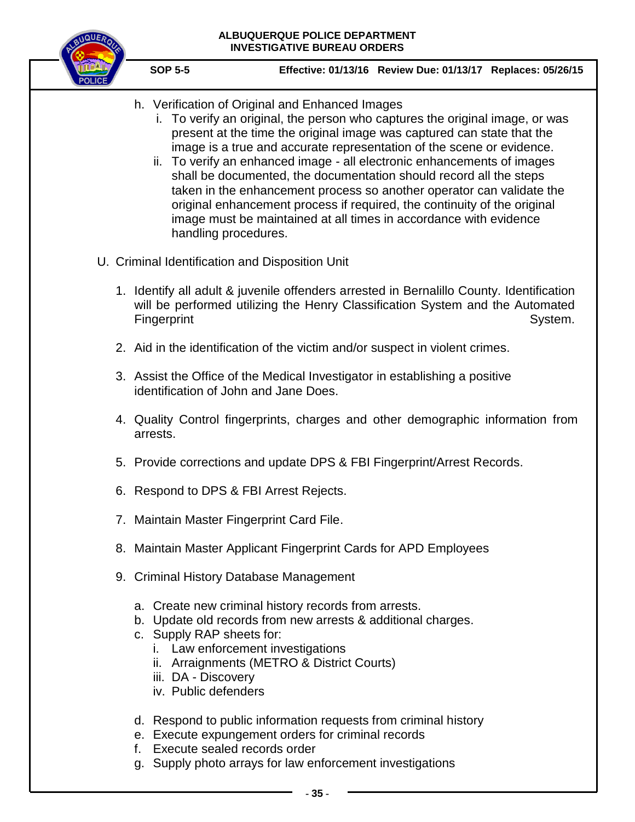

- h. Verification of Original and Enhanced Images
	- i. To verify an original, the person who captures the original image, or was present at the time the original image was captured can state that the image is a true and accurate representation of the scene or evidence.
	- ii. To verify an enhanced image all electronic enhancements of images shall be documented, the documentation should record all the steps taken in the enhancement process so another operator can validate the original enhancement process if required, the continuity of the original image must be maintained at all times in accordance with evidence handling procedures.
- U. Criminal Identification and Disposition Unit
	- 1. Identify all adult & juvenile offenders arrested in Bernalillo County. Identification will be performed utilizing the Henry Classification System and the Automated Fingerprint System.
	- 2. Aid in the identification of the victim and/or suspect in violent crimes.
	- 3. Assist the Office of the Medical Investigator in establishing a positive identification of John and Jane Does.
	- 4. Quality Control fingerprints, charges and other demographic information from arrests.
	- 5. Provide corrections and update DPS & FBI Fingerprint/Arrest Records.
	- 6. Respond to DPS & FBI Arrest Rejects.
	- 7. Maintain Master Fingerprint Card File.
	- 8. Maintain Master Applicant Fingerprint Cards for APD Employees
	- 9. Criminal History Database Management
		- a. Create new criminal history records from arrests.
		- b. Update old records from new arrests & additional charges.
		- c. Supply RAP sheets for:
			- i. Law enforcement investigations
			- ii. Arraignments (METRO & District Courts)
			- iii. DA Discovery
			- iv. Public defenders
		- d. Respond to public information requests from criminal history
		- e. Execute expungement orders for criminal records
		- f. Execute sealed records order
		- g. Supply photo arrays for law enforcement investigations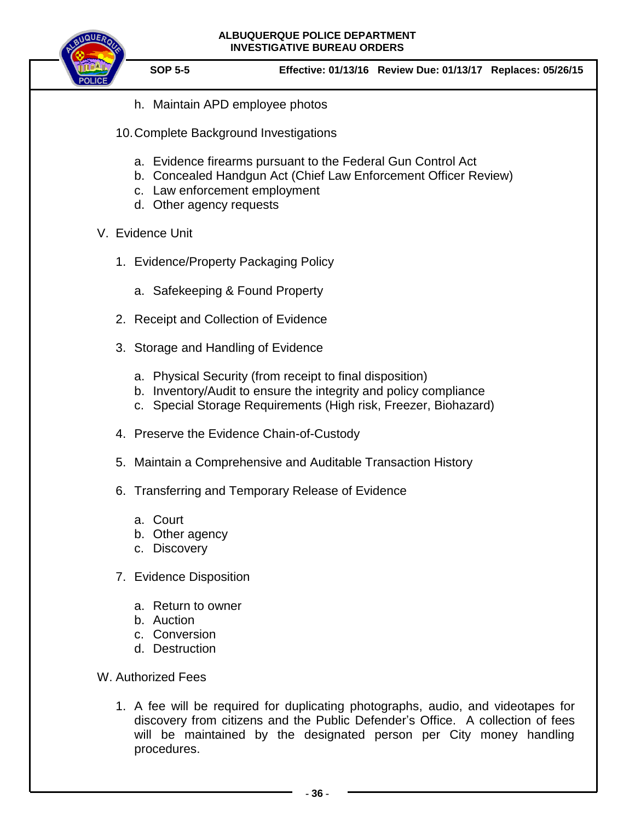



- h. Maintain APD employee photos
- 10.Complete Background Investigations
	- a. Evidence firearms pursuant to the Federal Gun Control Act
	- b. Concealed Handgun Act (Chief Law Enforcement Officer Review)
	- c. Law enforcement employment
	- d. Other agency requests
- V. Evidence Unit
	- 1. Evidence/Property Packaging Policy
		- a. Safekeeping & Found Property
	- 2. Receipt and Collection of Evidence
	- 3. Storage and Handling of Evidence
		- a. Physical Security (from receipt to final disposition)
		- b. Inventory/Audit to ensure the integrity and policy compliance
		- c. Special Storage Requirements (High risk, Freezer, Biohazard)
	- 4. Preserve the Evidence Chain-of-Custody
	- 5. Maintain a Comprehensive and Auditable Transaction History
	- 6. Transferring and Temporary Release of Evidence
		- a. Court
		- b. Other agency
		- c. Discovery
	- 7. Evidence Disposition
		- a. Return to owner
		- b. Auction
		- c. Conversion
		- d. Destruction
- W. Authorized Fees
	- 1. A fee will be required for duplicating photographs, audio, and videotapes for discovery from citizens and the Public Defender's Office. A collection of fees will be maintained by the designated person per City money handling procedures.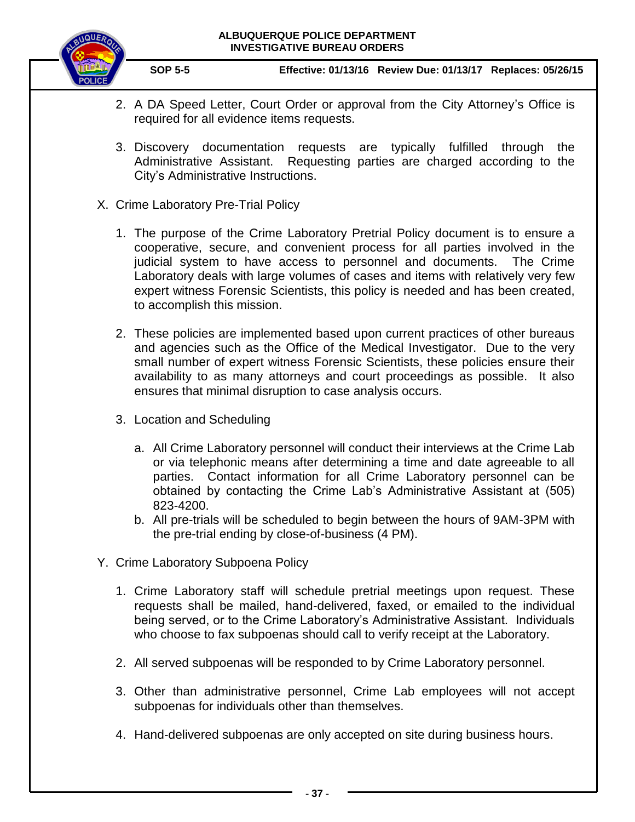

- 2. A DA Speed Letter, Court Order or approval from the City Attorney's Office is required for all evidence items requests.
- 3. Discovery documentation requests are typically fulfilled through the Administrative Assistant. Requesting parties are charged according to the City's Administrative Instructions.
- X. Crime Laboratory Pre-Trial Policy
	- 1. The purpose of the Crime Laboratory Pretrial Policy document is to ensure a cooperative, secure, and convenient process for all parties involved in the judicial system to have access to personnel and documents. The Crime Laboratory deals with large volumes of cases and items with relatively very few expert witness Forensic Scientists, this policy is needed and has been created, to accomplish this mission.
	- 2. These policies are implemented based upon current practices of other bureaus and agencies such as the Office of the Medical Investigator. Due to the very small number of expert witness Forensic Scientists, these policies ensure their availability to as many attorneys and court proceedings as possible. It also ensures that minimal disruption to case analysis occurs.
	- 3. Location and Scheduling
		- a. All Crime Laboratory personnel will conduct their interviews at the Crime Lab or via telephonic means after determining a time and date agreeable to all parties. Contact information for all Crime Laboratory personnel can be obtained by contacting the Crime Lab's Administrative Assistant at (505) 823-4200.
		- b. All pre-trials will be scheduled to begin between the hours of 9AM-3PM with the pre-trial ending by close-of-business (4 PM).
- Y. Crime Laboratory Subpoena Policy
	- 1. Crime Laboratory staff will schedule pretrial meetings upon request. These requests shall be mailed, hand-delivered, faxed, or emailed to the individual being served, or to the Crime Laboratory's Administrative Assistant. Individuals who choose to fax subpoenas should call to verify receipt at the Laboratory.
	- 2. All served subpoenas will be responded to by Crime Laboratory personnel.
	- 3. Other than administrative personnel, Crime Lab employees will not accept subpoenas for individuals other than themselves.
	- 4. Hand-delivered subpoenas are only accepted on site during business hours.